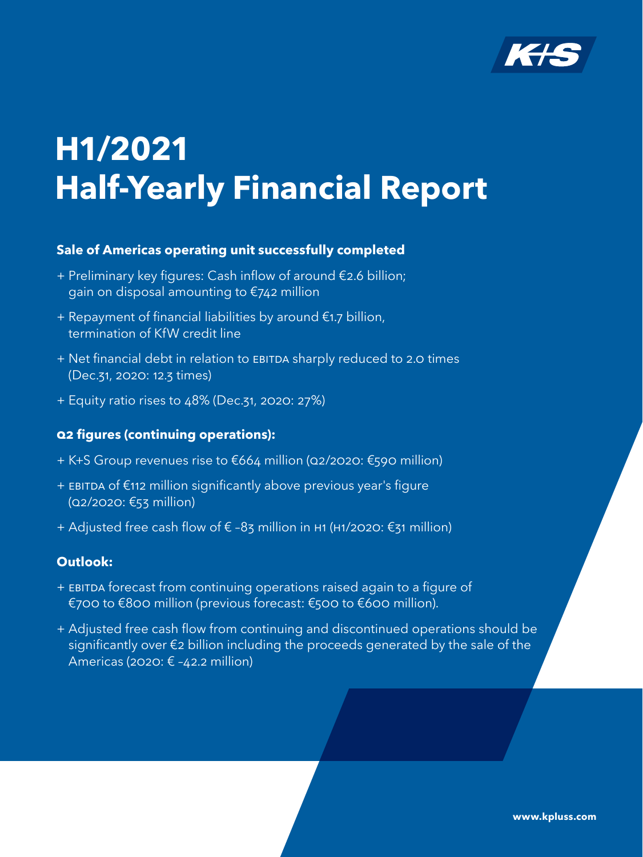

# <span id="page-0-0"></span>**H1/2021 Half-Yearly Financial Report**

## **Sale of Americas operating unit successfully completed**

- + Preliminary key figures: Cash inflow of around €2.6 billion; gain on disposal amounting to €742 million
- + Repayment of financial liabilities by around €1.7 billion, termination of KfW credit line
- + Net financial debt in relation to EBITDA sharply reduced to 2.0 times (Dec.31, 2020: 12.3 times)
- + Equity ratio rises to 48% (Dec.31, 2020: 27%)

## **Q2 figures (continuing operations):**

- + K+S Group revenues rise to €664 million (Q2/2020: €590 million)
- + EBITDA of €112 million significantly above previous year's figure (Q2/2020: €53 million)
- + Adjusted free cash flow of € –83 million in H1 (H1/2020: €31 million)

## **Outlook:**

- + EBITDA forecast from continuing operations raised again to a figure of €700 to €800 million (previous forecast: €500 to €600 million).
- + Adjusted free cash flow from continuing and discontinued operations should be significantly over €2 billion including the proceeds generated by the sale of the Americas (2020:  $\epsilon$  -42.2 million)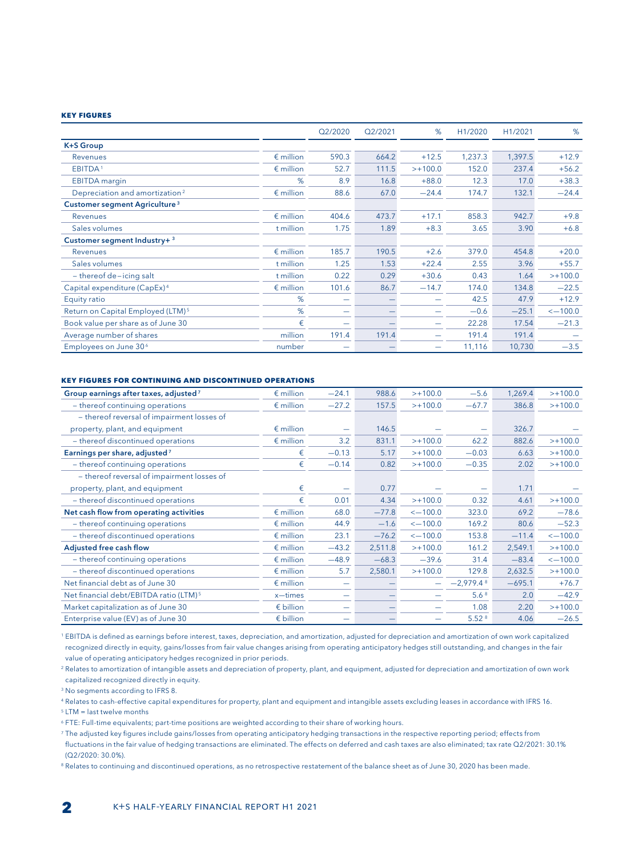#### **Key Figures**

|                                               |                    | Q2/2020 | Q2/2021 | %         | H1/2020 | H1/2021 | %            |
|-----------------------------------------------|--------------------|---------|---------|-----------|---------|---------|--------------|
| <b>K+S Group</b>                              |                    |         |         |           |         |         |              |
| <b>Revenues</b>                               | $\epsilon$ million | 590.3   | 664.2   | $+12.5$   | 1,237.3 | 1,397.5 | $+12.9$      |
| EBITDA <sup>1</sup>                           | $\epsilon$ million | 52.7    | 111.5   | $>+100.0$ | 152.0   | 237.4   | $+56.2$      |
| <b>EBITDA</b> margin                          | %                  | 8.9     | 16.8    | $+88.0$   | 12.3    | 17.0    | $+38.3$      |
| Depreciation and amortization <sup>2</sup>    | $\epsilon$ million | 88.6    | 67.0    | $-24.4$   | 174.7   | 132.1   | $-24.4$      |
| Customer segment Agriculture <sup>3</sup>     |                    |         |         |           |         |         |              |
| Revenues                                      | $\epsilon$ million | 404.6   | 473.7   | $+17.1$   | 858.3   | 942.7   | $+9.8$       |
| Sales volumes                                 | t million          | 1.75    | 1.89    | $+8.3$    | 3.65    | 3.90    | $+6.8$       |
| Customer segment Industry+ 3                  |                    |         |         |           |         |         |              |
| Revenues                                      | $\epsilon$ million | 185.7   | 190.5   | $+2.6$    | 379.0   | 454.8   | $+20.0$      |
| Sales volumes                                 | t million          | 1.25    | 1.53    | $+22.4$   | 2.55    | 3.96    | $+55.7$      |
| $-$ thereof de-icing salt                     | t million          | 0.22    | 0.29    | $+30.6$   | 0.43    | 1.64    | $>+100.0$    |
| Capital expenditure (CapEx) <sup>4</sup>      | $\epsilon$ million | 101.6   | 86.7    | $-14.7$   | 174.0   | 134.8   | $-22.5$      |
| Equity ratio                                  | %                  |         |         |           | 42.5    | 47.9    | $+12.9$      |
| Return on Capital Employed (LTM) <sup>5</sup> | %                  |         |         |           | $-0.6$  | $-25.1$ | $\le -100.0$ |
| Book value per share as of June 30            | €                  |         |         |           | 22.28   | 17.54   | $-21.3$      |
| Average number of shares                      | million            | 191.4   | 191.4   | -         | 191.4   | 191.4   |              |
| Employees on June 30 <sup>6</sup>             | number             |         |         | -         | 11,116  | 10,730  | $-3.5$       |

#### **Key figures for continuing and discontinued operations**

| Group earnings after taxes, adjusted <sup>7</sup>  | $\epsilon$ million | $-24.1$                  | 988.6   | $>+100.0$          | $-5.6$            | 1,269.4  | $>+100.0$          |
|----------------------------------------------------|--------------------|--------------------------|---------|--------------------|-------------------|----------|--------------------|
| - thereof continuing operations                    | $\epsilon$ million | $-27.2$                  | 157.5   | $>+100.0$          | $-67.7$           | 386.8    | $>+100.0$          |
| - thereof reversal of impairment losses of         |                    |                          |         |                    |                   |          |                    |
| property, plant, and equipment                     | $\epsilon$ million |                          | 146.5   |                    |                   | 326.7    |                    |
| - thereof discontinued operations                  | $\epsilon$ million | 3.2                      | 831.1   | $>+100.0$          | 62.2              | 882.6    | $>+100.0$          |
| Earnings per share, adjusted <sup>7</sup>          | €                  | $-0.13$                  | 5.17    | $>+100.0$          | $-0.03$           | 6.63     | $>+100.0$          |
| - thereof continuing operations                    | €                  | $-0.14$                  | 0.82    | $>+100.0$          | $-0.35$           | 2.02     | $>+100.0$          |
| - thereof reversal of impairment losses of         |                    |                          |         |                    |                   |          |                    |
| property, plant, and equipment                     | €                  |                          | 0.77    |                    |                   | 1.71     |                    |
| - thereof discontinued operations                  | €                  | 0.01                     | 4.34    | $>+100.0$          | 0.32              | 4.61     | $>+100.0$          |
| Net cash flow from operating activities            | $\epsilon$ million | 68.0                     | $-77.8$ | $\leq -100.0$      | 323.0             | 69.2     | $-78.6$            |
| - thereof continuing operations                    | $\epsilon$ million | 44.9                     | $-1.6$  | $\leftarrow$ 100.0 | 169.2             | 80.6     | $-52.3$            |
| - thereof discontinued operations                  | $\epsilon$ million | 23.1                     | $-76.2$ | $\le -100.0$       | 153.8             | $-11.4$  | $\le -100.0$       |
| Adjusted free cash flow                            | $\epsilon$ million | $-43.2$                  | 2,511.8 | $>+100.0$          | 161.2             | 2,549.1  | $>+100.0$          |
| - thereof continuing operations                    | $\epsilon$ million | $-48.9$                  | $-68.3$ | $-39.6$            | 31.4              | $-83.4$  | $\leftarrow$ 100.0 |
| - thereof discontinued operations                  | $\epsilon$ million | 5.7                      | 2,580.1 | $>+100.0$          | 129.8             | 2,632.5  | $>+100.0$          |
| Net financial debt as of June 30                   | $\epsilon$ million | $\overline{\phantom{m}}$ |         |                    | $-2,979.48$       | $-695.1$ | $+76.7$            |
| Net financial debt/EBITDA ratio (LTM) <sup>5</sup> | x-times            |                          |         |                    | 5.6 <sup>8</sup>  | 2.0      | $-42.9$            |
| Market capitalization as of June 30                | $\epsilon$ billion |                          |         |                    | 1.08              | 2.20     | $>+100.0$          |
| Enterprise value (EV) as of June 30                | $\epsilon$ billion |                          |         |                    | 5.52 <sup>8</sup> | 4.06     | $-26.5$            |

<sup>1</sup> EBITDA is defined as earnings before interest, taxes, depreciation, and amortization, adjusted for depreciation and amortization of own work capitalized recognized directly in equity, gains/losses from fair value changes arising from operating anticipatory hedges still outstanding, and changes in the fair value of operating anticipatory hedges recognized in prior periods.

<sup>2</sup> Relates to amortization of intangible assets and depreciation of property, plant, and equipment, adjusted for depreciation and amortization of own work capitalized recognized directly in equity.

<sup>3</sup> No segments according to IFRS 8.

<sup>4</sup> Relates to cash-effective capital expenditures for property, plant and equipment and intangible assets excluding leases in accordance with IFRS 16.

 $5$  LTM = last twelve months

<sup>6</sup> FTE: Full-time equivalents; part-time positions are weighted according to their share of working hours.

<sup>7</sup> The adjusted key figures include gains/losses from operating anticipatory hedging transactions in the respective reporting period; effects from fluctuations in the fair value of hedging transactions are eliminated. The effects on deferred and cash taxes are also eliminated; tax rate Q2/2021: 30.1% (Q2/2020: 30.0%).

<sup>8</sup> Relates to continuing and discontinued operations, as no retrospective restatement of the balance sheet as of June 30, 2020 has been made.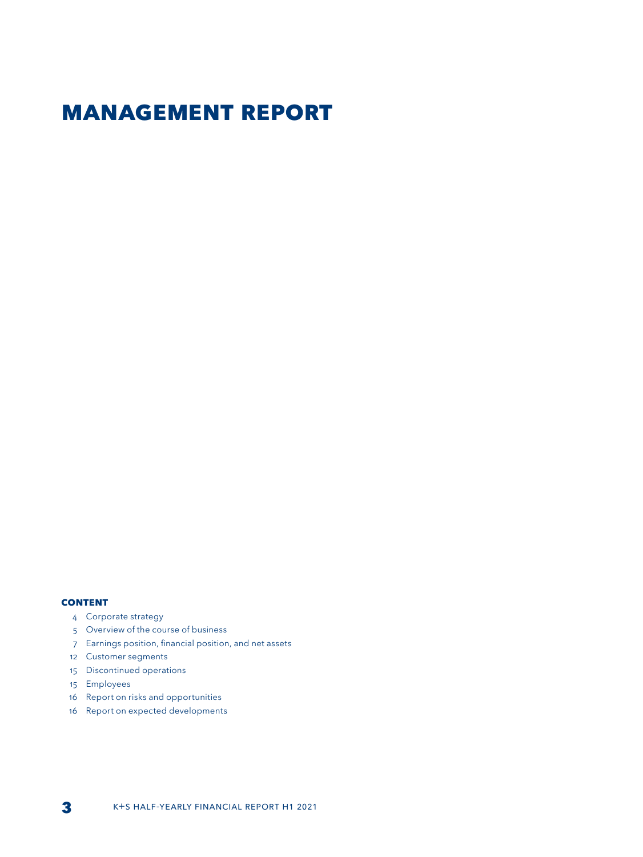## **Management Report**

#### **CONTENT**

- 4 Corporate strategy
- 5 Overview of the course of business
- 7 Earnings position, financial position, and net assets
- 12 Customer segments
- 15 Discontinued operations
- 15 Employees
- 16 Report on risks and opportunities
- 16 Report on expected developments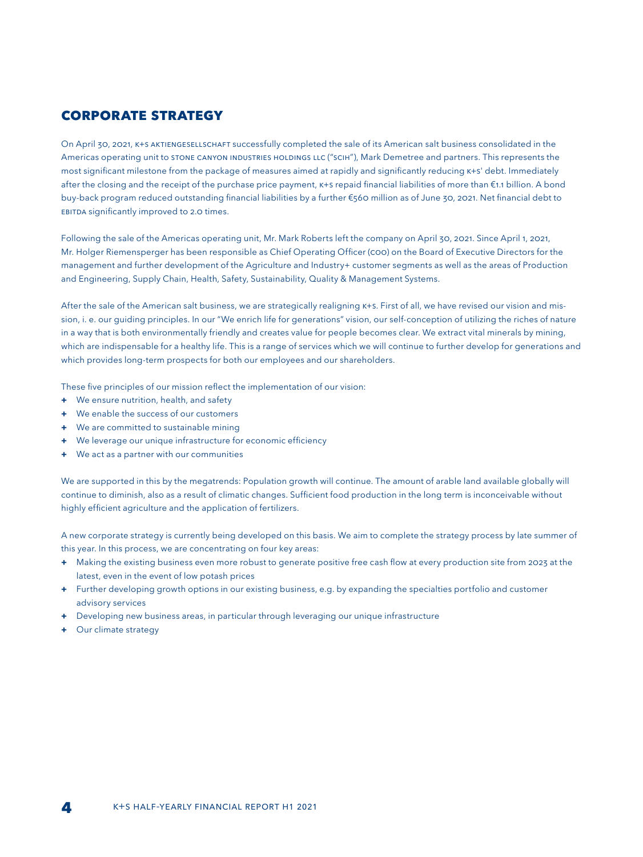## **Corporate Strategy**

On April 30, 2021, K+S AKTIENGESELLSCHAFT successfully completed the sale of its American salt business consolidated in the Americas operating unit to STONE CANYON INDUSTRIES HOLDINGS LLC ("SCIH"), Mark Demetree and partners. This represents the most significant milestone from the package of measures aimed at rapidly and significantly reducing K+S' debt. Immediately after the closing and the receipt of the purchase price payment, K+S repaid financial liabilities of more than €1.1 billion. A bond buy-back program reduced outstanding financial liabilities by a further €560 million as of June 30, 2021. Net financial debt to EBITDA significantly improved to 2.0 times.

Following the sale of the Americas operating unit, Mr. Mark Roberts left the company on April 30, 2021. Since April 1, 2021, Mr. Holger Riemensperger has been responsible as Chief Operating Officer (COO) on the Board of Executive Directors for the management and further development of the Agriculture and Industry+ customer segments as well as the areas of Production and Engineering, Supply Chain, Health, Safety, Sustainability, Quality & Management Systems.

After the sale of the American salt business, we are strategically realigning K+S. First of all, we have revised our vision and mission, i. e. our guiding principles. In our "We enrich life for generations" vision, our self-conception of utilizing the riches of nature in a way that is both environmentally friendly and creates value for people becomes clear. We extract vital minerals by mining, which are indispensable for a healthy life. This is a range of services which we will continue to further develop for generations and which provides long-term prospects for both our employees and our shareholders.

These five principles of our mission reflect the implementation of our vision:

- **+** We ensure nutrition, health, and safety
- **+** We enable the success of our customers
- **+** We are committed to sustainable mining
- **+** We leverage our unique infrastructure for economic efficiency
- **+** We act as a partner with our communities

We are supported in this by the megatrends: Population growth will continue. The amount of arable land available globally will continue to diminish, also as a result of climatic changes. Sufficient food production in the long term is inconceivable without highly efficient agriculture and the application of fertilizers.

A new corporate strategy is currently being developed on this basis. We aim to complete the strategy process by late summer of this year. In this process, we are concentrating on four key areas:

- **+** Making the existing business even more robust to generate positive free cash flow at every production site from 2023 at the latest, even in the event of low potash prices
- **+** Further developing growth options in our existing business, e.g. by expanding the specialties portfolio and customer advisory services
- **+** Developing new business areas, in particular through leveraging our unique infrastructure
- **+** Our climate strategy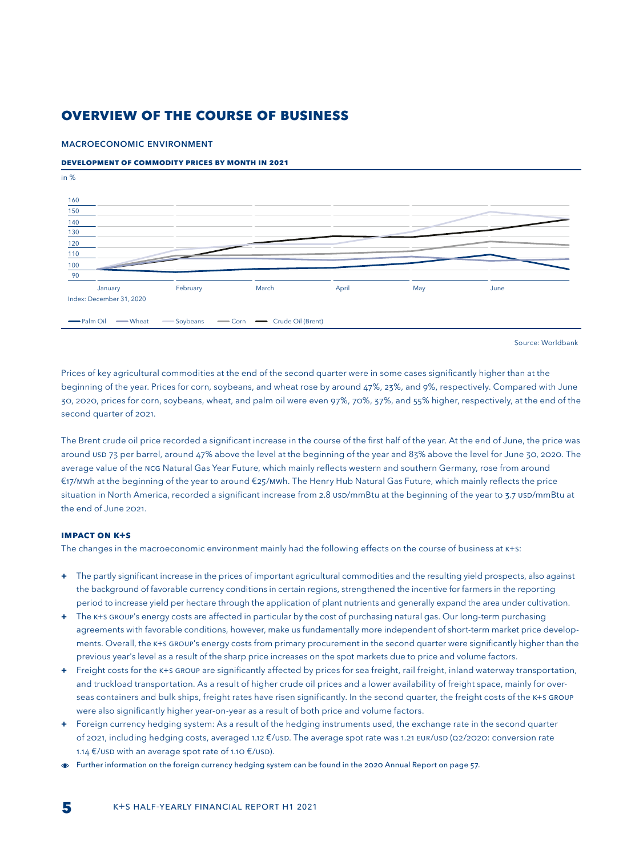## **OVERVIEW OF THE COURSE OF BUSINESS**

#### MACROECONOMIC ENVIRONMENT

#### **DEVELOPMENT OF COMMODITY PRICES BY MONTH IN 2021**



Source: Worldbank

Prices of key agricultural commodities at the end of the second quarter were in some cases significantly higher than at the beginning of the year. Prices for corn, soybeans, and wheat rose by around 47%, 23%, and 9%, respectively. Compared with June 30, 2020, prices for corn, soybeans, wheat, and palm oil were even 97%, 70%, 37%, and 55% higher, respectively, at the end of the second quarter of 2021.

The Brent crude oil price recorded a significant increase in the course of the first half of the year. At the end of June, the price was around USD 73 per barrel, around 47% above the level at the beginning of the year and 83% above the level for June 30, 2020. The average value of the NCG Natural Gas Year Future, which mainly reflects western and southern Germany, rose from around €17/MWh at the beginning of the year to around €25/MWh. The Henry Hub Natural Gas Future, which mainly reflects the price situation in North America, recorded a significant increase from 2.8 USD/mmBtu at the beginning of the year to 3.7 USD/mmBtu at the end of June 2021.

#### **IMPACT ON K+S**

The changes in the macroeconomic environment mainly had the following effects on the course of business at  $K+S$ :

- **+** The partly significant increase in the prices of important agricultural commodities and the resulting yield prospects, also against the background of favorable currency conditions in certain regions, strengthened the incentive for farmers in the reporting period to increase yield per hectare through the application of plant nutrients and generally expand the area under cultivation.
- **+** The K+S GROUP's energy costs are affected in particular by the cost of purchasing natural gas. Our long-term purchasing agreements with favorable conditions, however, make us fundamentally more independent of short-term market price developments. Overall, the K+S GROUP's energy costs from primary procurement in the second quarter were significantly higher than the previous year's level as a result of the sharp price increases on the spot markets due to price and volume factors.
- **+** Freight costs for the K+S GROUP are significantly affected by prices for sea freight, rail freight, inland waterway transportation, and truckload transportation. As a result of higher crude oil prices and a lower availability of freight space, mainly for overseas containers and bulk ships, freight rates have risen significantly. In the second quarter, the freight costs of the K+S GROUP were also significantly higher year-on-year as a result of both price and volume factors.
- **+** Foreign currency hedging system: As a result of the hedging instruments used, the exchange rate in the second quarter of 2021, including hedging costs, averaged 1.12 €/USD. The average spot rate was 1.21 EUR/USD (Q2/2020: conversion rate 1.14 €/USD with an average spot rate of 1.10 €/USD).
- Further information on the foreign currency hedging system can be found in the 2020 Annual Report on page 57.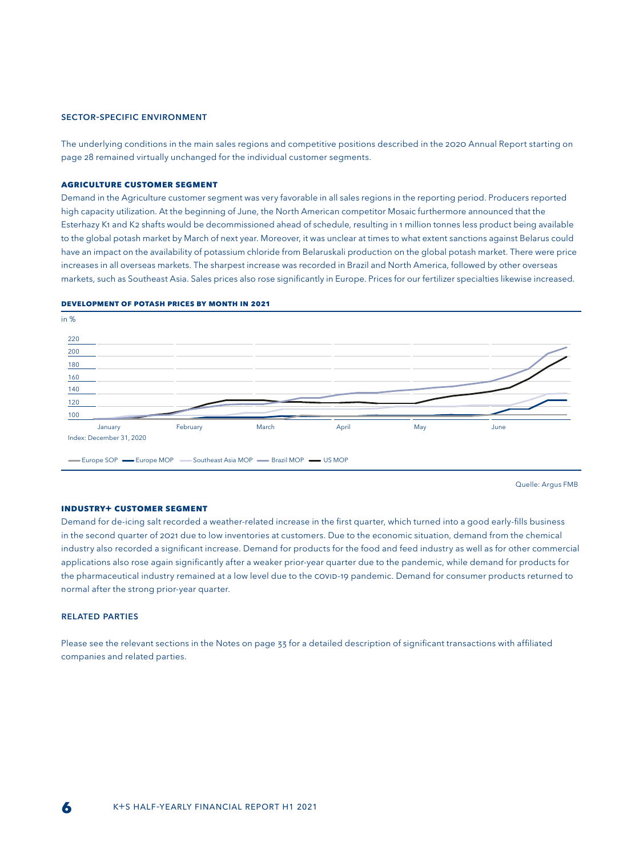#### SECTOR-SPECIFIC ENVIRONMENT

The underlying conditions in the main sales regions and competitive positions described in the 2020 Annual Report starting on page 28 remained virtually unchanged for the individual customer segments.

#### **AGRICULTURE CUSTOMER SEGMENT**

Demand in the Agriculture customer segment was very favorable in all sales regions in the reporting period. Producers reported high capacity utilization. At the beginning of June, the North American competitor Mosaic furthermore announced that the Esterhazy K1 and K2 shafts would be decommissioned ahead of schedule, resulting in 1 million tonnes less product being available to the global potash market by March of next year. Moreover, it was unclear at times to what extent sanctions against Belarus could have an impact on the availability of potassium chloride from Belaruskali production on the global potash market. There were price increases in all overseas markets. The sharpest increase was recorded in Brazil and North America, followed by other overseas markets, such as Southeast Asia. Sales prices also rose significantly in Europe. Prices for our fertilizer specialties likewise increased.



#### **Development of potash prices by month in 2021**

Quelle: Argus FMB

#### **INDUSTRY+ CUSTOMER SEGMENT**

Demand for de-icing salt recorded a weather-related increase in the first quarter, which turned into a good early-fills business in the second quarter of 2021 due to low inventories at customers. Due to the economic situation, demand from the chemical industry also recorded a significant increase. Demand for products for the food and feed industry as well as for other commercial applications also rose again significantly after a weaker prior-year quarter due to the pandemic, while demand for products for the pharmaceutical industry remained at a low level due to the COVID-19 pandemic. Demand for consumer products returned to normal after the strong prior-year quarter.

#### RELATED PARTIES

Please see the relevant sections in the Notes on page 33 for a detailed description of significant transactions with affiliated companies and related parties.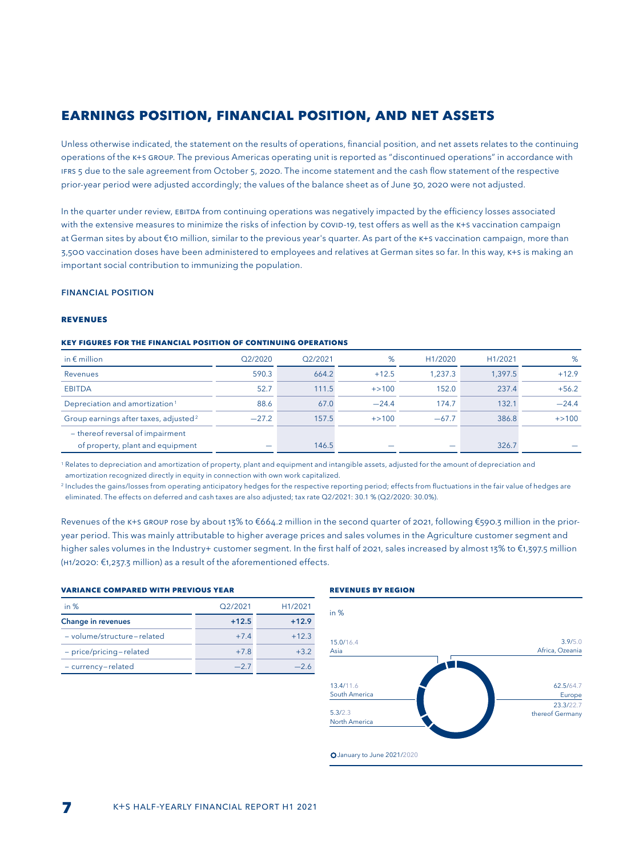## **EARNINGS POSITION, FINANCIAL POSITION, AND NET ASSETS**

Unless otherwise indicated, the statement on the results of operations, financial position, and net assets relates to the continuing operations of the K+S GROUP. The previous Americas operating unit is reported as "discontinued operations" in accordance with IFRS 5 due to the sale agreement from October 5, 2020. The income statement and the cash flow statement of the respective prior-year period were adjusted accordingly; the values of the balance sheet as of June 30, 2020 were not adjusted.

In the quarter under review, EBITDA from continuing operations was negatively impacted by the efficiency losses associated with the extensive measures to minimize the risks of infection by COVID-19, test offers as well as the K+S vaccination campaign at German sites by about €10 million, similar to the previous year's quarter. As part of the K+S vaccination campaign, more than 3,500 vaccination doses have been administered to employees and relatives at German sites so far. In this way, K+S is making an important social contribution to immunizing the population.

#### FINANCIAL POSITION

#### **REVENUES**

#### **Key figures for the financial position of continuing operations**

| in $\epsilon$ million                                                | Q2/2020 | O <sub>2</sub> /2021 | %         | H <sub>1</sub> /2020 | H1/2021 | %         |
|----------------------------------------------------------------------|---------|----------------------|-----------|----------------------|---------|-----------|
| Revenues                                                             | 590.3   | 664.2                | $+12.5$   | 1.237.3              | 1.397.5 | $+12.9$   |
| <b>EBITDA</b>                                                        | 52.7    | 111.5                | $+ > 100$ | 152.0                | 237.4   | $+56.2$   |
| Depreciation and amortization <sup>1</sup>                           | 88.6    | 67.0                 | $-24.4$   | 174.7                | 132.1   | $-24.4$   |
| Group earnings after taxes, adjusted <sup>2</sup>                    | $-27.2$ | 157.5                | $+ > 100$ | $-67.7$              | 386.8   | $+ > 100$ |
| - thereof reversal of impairment<br>of property, plant and equipment |         | 146.5                |           |                      | 326.7   |           |

<sup>1</sup> Relates to depreciation and amortization of property, plant and equipment and intangible assets, adjusted for the amount of depreciation and amortization recognized directly in equity in connection with own work capitalized.

<sup>2</sup> Includes the gains/losses from operating anticipatory hedges for the respective reporting period; effects from fluctuations in the fair value of hedges are eliminated. The effects on deferred and cash taxes are also adjusted; tax rate Q2/2021: 30.1 % (Q2/2020: 30.0%).

Revenues of the K+S GROUP rose by about 13% to €664.2 million in the second quarter of 2021, following €590.3 million in the prioryear period. This was mainly attributable to higher average prices and sales volumes in the Agriculture customer segment and higher sales volumes in the Industry+ customer segment. In the first half of 2021, sales increased by almost 13% to €1,397.5 million (H1/2020: €1,237.3 million) as a result of the aforementioned effects.

#### **Variance compared with previous year**

| in $%$                     | O <sub>2</sub> /2021 | H1/2021 |
|----------------------------|----------------------|---------|
| <b>Change in revenues</b>  | $+12.5$              | $+12.9$ |
| - volume/structure-related | $+74$                | $+12.3$ |
| - price/pricing-related    | $+7.8$               | $+32$   |
| - currency-related         | $-27$                | $-26$   |

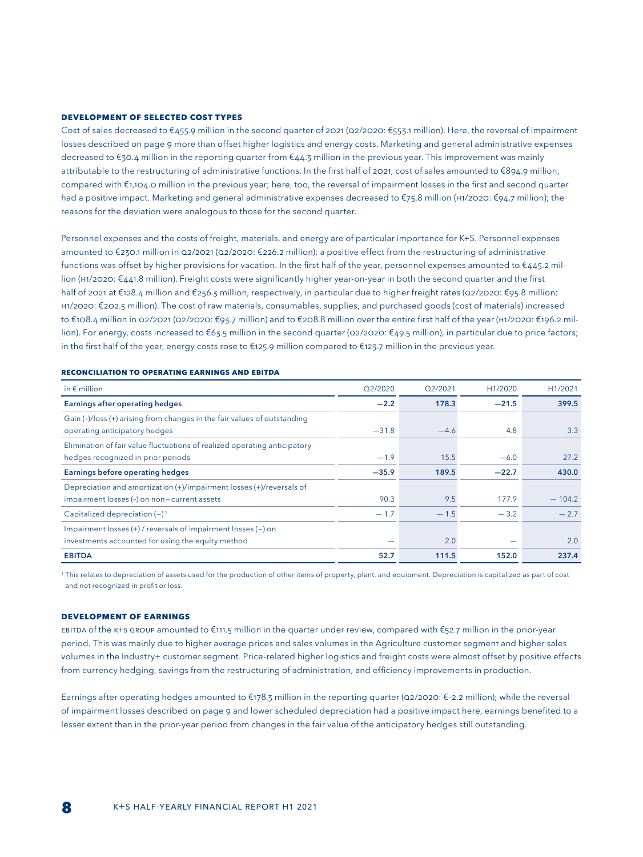#### **DEVELOPMENT OF SELECTED COST TYPES**

Cost of sales decreased to €455.9 million in the second quarter of 2021 (Q2/2020: €553.1 million). Here, the reversal of impairment losses described on page 9 more than offset higher logistics and energy costs. Marketing and general administrative expenses decreased to €30.4 million in the reporting quarter from €44.3 million in the previous year. This improvement was mainly attributable to the restructuring of administrative functions. In the first half of 2021, cost of sales amounted to €894.9 million, compared with €1,104.0 million in the previous year; here, too, the reversal of impairment losses in the first and second quarter had a positive impact. Marketing and general administrative expenses decreased to €75.8 million (H1/2020: €94.7 million); the reasons for the deviation were analogous to those for the second quarter.

Personnel expenses and the costs of freight, materials, and energy are of particular importance for K+S. Personnel expenses amounted to €230.1 million in Q2/2021 (Q2/2020: €226.2 million); a positive effect from the restructuring of administrative functions was offset by higher provisions for vacation. In the first half of the year, personnel expenses amounted to €445.2 million (H1/2020: €441.8 million). Freight costs were significantly higher year-on-year in both the second quarter and the first half of 2021 at €128.4 million and €256.3 million, respectively, in particular due to higher freight rates (Q2/2020: €95.8 million; H1/2020: €202.5 million). The cost of raw materials, consumables, supplies, and purchased goods (cost of materials) increased to €108.4 million in Q2/2021 (Q2/2020: €93.7 million) and to €208.8 million over the entire first half of the year (H1/2020: €196.2 million). For energy, costs increased to €63.5 million in the second quarter (Q2/2020: €49.5 million), in particular due to price factors; in the first half of the year, energy costs rose to €125.9 million compared to €123.7 million in the previous year.

| in $\epsilon$ million                                                                                               | Q2/2020 | Q2/2021 | H1/2020 | H1/2021  |
|---------------------------------------------------------------------------------------------------------------------|---------|---------|---------|----------|
| <b>Earnings after operating hedges</b>                                                                              | $-2.2$  | 178.3   | $-21.5$ | 399.5    |
| Gain (-)/loss (+) arising from changes in the fair values of outstanding<br>operating anticipatory hedges           | $-31.8$ | $-4.6$  | 4.8     | 3.3      |
| Elimination of fair value fluctuations of realized operating anticipatory<br>hedges recognized in prior periods     | $-1.9$  | 15.5    | $-6.0$  | 27.2     |
| <b>Earnings before operating hedges</b>                                                                             | $-35.9$ | 189.5   | $-22.7$ | 430.0    |
| Depreciation and amortization (+)/impairment losses (+)/reversals of<br>impairment losses (-) on non-current assets | 90.3    | 9.5     | 177.9   | $-104.2$ |
| Capitalized depreciation $(-)^1$                                                                                    | $-1.7$  | $-1.5$  | $-3.2$  | $-2.7$   |
| Impairment losses (+) / reversals of impairment losses (-) on<br>investments accounted for using the equity method  | -       | 2.0     |         | 2.0      |
| <b>EBITDA</b>                                                                                                       | 52.7    | 111.5   | 152.0   | 237.4    |

#### **Reconciliation to operating earnings and EBITDA**

<sup>1</sup> This relates to depreciation of assets used for the production of other items of property, plant, and equipment. Depreciation is capitalized as part of cost and not recognized in profit or loss.

#### **DEVELOPMENT OF EARNINGS**

EBITDA of the K+S GROUP amounted to €111.5 million in the quarter under review, compared with €52.7 million in the prior-year period. This was mainly due to higher average prices and sales volumes in the Agriculture customer segment and higher sales volumes in the Industry+ customer segment. Price-related higher logistics and freight costs were almost offset by positive effects from currency hedging, savings from the restructuring of administration, and efficiency improvements in production.

Earnings after operating hedges amounted to  $\epsilon$ 178.3 million in the reporting quarter (Q2/2020:  $\epsilon$ -2.2 million); while the reversal of impairment losses described on page 9 and lower scheduled depreciation had a positive impact here, earnings benefited to a lesser extent than in the prior-year period from changes in the fair value of the anticipatory hedges still outstanding.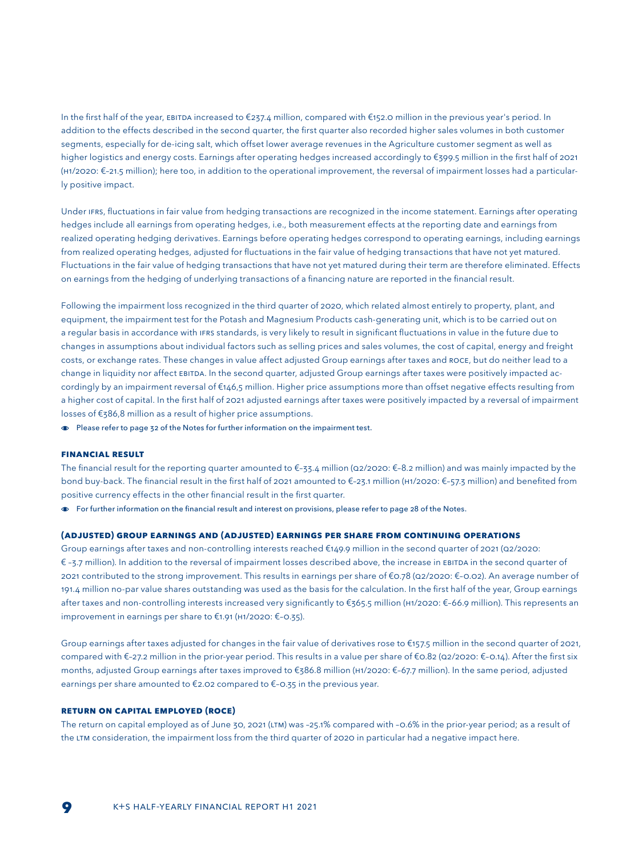In the first half of the year, EBITDA increased to €237.4 million, compared with €152.0 million in the previous year's period. In addition to the effects described in the second quarter, the first quarter also recorded higher sales volumes in both customer segments, especially for de-icing salt, which offset lower average revenues in the Agriculture customer segment as well as higher logistics and energy costs. Earnings after operating hedges increased accordingly to €399.5 million in the first half of 2021 (H1/2020: €–21.5 million); here too, in addition to the operational improvement, the reversal of impairment losses had a particularly positive impact.

Under IFRS, fluctuations in fair value from hedging transactions are recognized in the income statement. Earnings after operating hedges include all earnings from operating hedges, i.e., both measurement effects at the reporting date and earnings from realized operating hedging derivatives. Earnings before operating hedges correspond to operating earnings, including earnings from realized operating hedges, adjusted for fluctuations in the fair value of hedging transactions that have not yet matured. Fluctuations in the fair value of hedging transactions that have not yet matured during their term are therefore eliminated. Effects on earnings from the hedging of underlying transactions of a financing nature are reported in the financial result.

Following the impairment loss recognized in the third quarter of 2020, which related almost entirely to property, plant, and equipment, the impairment test for the Potash and Magnesium Products cash-generating unit, which is to be carried out on a regular basis in accordance with IFRS standards, is very likely to result in significant fluctuations in value in the future due to changes in assumptions about individual factors such as selling prices and sales volumes, the cost of capital, energy and freight costs, or exchange rates. These changes in value affect adjusted Group earnings after taxes and ROCE, but do neither lead to a change in liquidity nor affect EBITDA. In the second quarter, adjusted Group earnings after taxes were positively impacted accordingly by an impairment reversal of €146,5 million. Higher price assumptions more than offset negative effects resulting from a higher cost of capital. In the first half of 2021 adjusted earnings after taxes were positively impacted by a reversal of impairment losses of €386,8 million as a result of higher price assumptions.

Please refer to page 32 of the Notes for further information on the impairment test.

#### **FINANCIAL RESULT**

The financial result for the reporting quarter amounted to €-33.4 million (Q2/2020: €-8.2 million) and was mainly impacted by the bond buy-back. The financial result in the first half of 2021 amounted to €–23.1 million (H1/2020: €–57.3 million) and benefited from positive currency effects in the other financial result in the first quarter.

For further information on the financial result and interest on provisions, please refer to page 28 of the Notes.

#### **(adjusted) group earnings and (adjusted) earnings per share from continuing operations**

Group earnings after taxes and non-controlling interests reached €149.9 million in the second quarter of 2021 (Q2/2020: € –3.7 million). In addition to the reversal of impairment losses described above, the increase in EBITDA in the second quarter of 2021 contributed to the strong improvement. This results in earnings per share of €0.78 (Q2/2020: €–0.02). An average number of 191.4 million no-par value shares outstanding was used as the basis for the calculation. In the first half of the year, Group earnings after taxes and non-controlling interests increased very significantly to €365.5 million (H1/2020: €–66.9 million). This represents an improvement in earnings per share to €1.91 (H1/2020: €–0.35).

Group earnings after taxes adjusted for changes in the fair value of derivatives rose to €157.5 million in the second quarter of 2021, compared with €–27.2 million in the prior-year period. This results in a value per share of €0.82 (Q2/2020: €–0.14). After the first six months, adjusted Group earnings after taxes improved to €386.8 million (H1/2020: €–67.7 million). In the same period, adjusted earnings per share amounted to €2.02 compared to €–0.35 in the previous year.

#### **RETURN ON CAPITAL EMPLOYED (ROCE)**

The return on capital employed as of June 30, 2021 (LTM) was –25.1% compared with –0.6% in the prior-year period; as a result of the LTM consideration, the impairment loss from the third quarter of 2020 in particular had a negative impact here.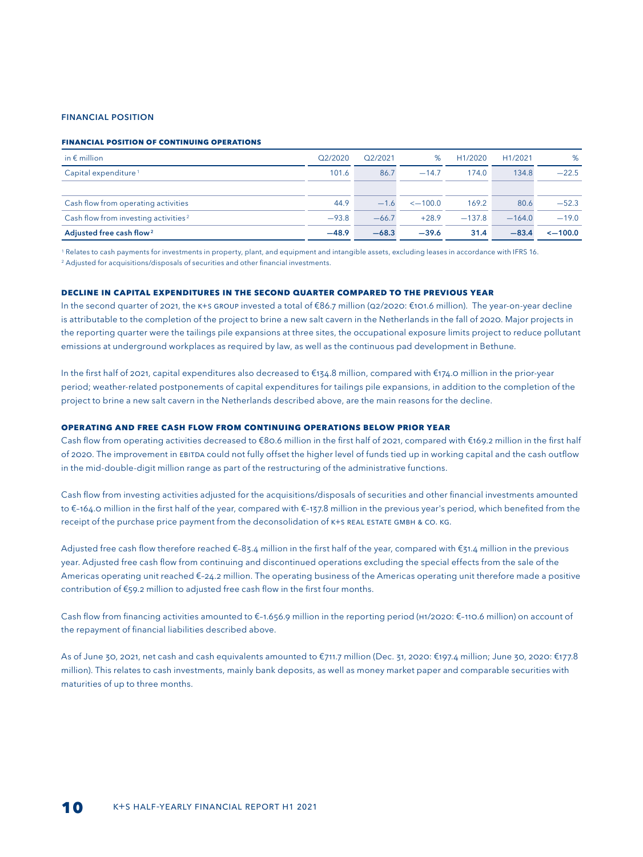#### FINANCIAL POSITION

#### **Financial position of continuing operations**

| in $\epsilon$ million                            | Q2/2020 | O <sub>2</sub> /2021 | %             | H <sub>1</sub> /2020 | H <sub>1</sub> /2021 | %             |
|--------------------------------------------------|---------|----------------------|---------------|----------------------|----------------------|---------------|
| Capital expenditure <sup>1</sup>                 | 101.6   | 86.7                 | $-14.7$       | 174.0                | 134.8                | $-22.5$       |
|                                                  |         |                      |               |                      |                      |               |
| Cash flow from operating activities              | 44.9    | $-1.6$               | $\leq -100.0$ | 169.2                | 80.6                 | $-52.3$       |
| Cash flow from investing activities <sup>2</sup> | $-93.8$ | $-66.7$              | $+28.9$       | $-137.8$             | $-164.0$             | $-19.0$       |
| Adjusted free cash flow <sup>2</sup>             | $-48.9$ | $-68.3$              | $-39.6$       | 31.4                 | $-83.4$              | $\leq -100.0$ |

1 Relates to cash payments for investments in property, plant, and equipment and intangible assets, excluding leases in accordance with IFRS 16.

<sup>2</sup> Adjusted for acquisitions/disposals of securities and other financial investments.

#### **DECLINE IN CAPITAL expenditures in the second quarter compared to the previous year**

In the second quarter of 2021, the K+S GROUP invested a total of €86.7 million (Q2/2020: €101.6 million). The year-on-year decline is attributable to the completion of the project to brine a new salt cavern in the Netherlands in the fall of 2020. Major projects in the reporting quarter were the tailings pile expansions at three sites, the occupational exposure limits project to reduce pollutant emissions at underground workplaces as required by law, as well as the continuous pad development in Bethune.

In the first half of 2021, capital expenditures also decreased to €134.8 million, compared with €174.0 million in the prior-year period; weather-related postponements of capital expenditures for tailings pile expansions, in addition to the completion of the project to brine a new salt cavern in the Netherlands described above, are the main reasons for the decline.

#### **OPERATING AND FREE CASH FLOW FROM CONTINUING OPERATIONS below prior year**

Cash flow from operating activities decreased to €80.6 million in the first half of 2021, compared with €169.2 million in the first half of 2020. The improvement in EBITDA could not fully offset the higher level of funds tied up in working capital and the cash outflow in the mid-double-digit million range as part of the restructuring of the administrative functions.

Cash flow from investing activities adjusted for the acquisitions/disposals of securities and other financial investments amounted to €–164.0 million in the first half of the year, compared with €–137.8 million in the previous year's period, which benefited from the receipt of the purchase price payment from the deconsolidation of K+S REAL ESTATE GMBH & CO. KG.

Adjusted free cash flow therefore reached €–83.4 million in the first half of the year, compared with €31.4 million in the previous year. Adjusted free cash flow from continuing and discontinued operations excluding the special effects from the sale of the Americas operating unit reached €–24.2 million. The operating business of the Americas operating unit therefore made a positive contribution of €59.2 million to adjusted free cash flow in the first four months.

Cash flow from financing activities amounted to €–1.656.9 million in the reporting period (H1/2020: €–110.6 million) on account of the repayment of financial liabilities described above.

As of June 30, 2021, net cash and cash equivalents amounted to €711.7 million (Dec. 31, 2020: €197.4 million; June 30, 2020: €177.8 million). This relates to cash investments, mainly bank deposits, as well as money market paper and comparable securities with maturities of up to three months.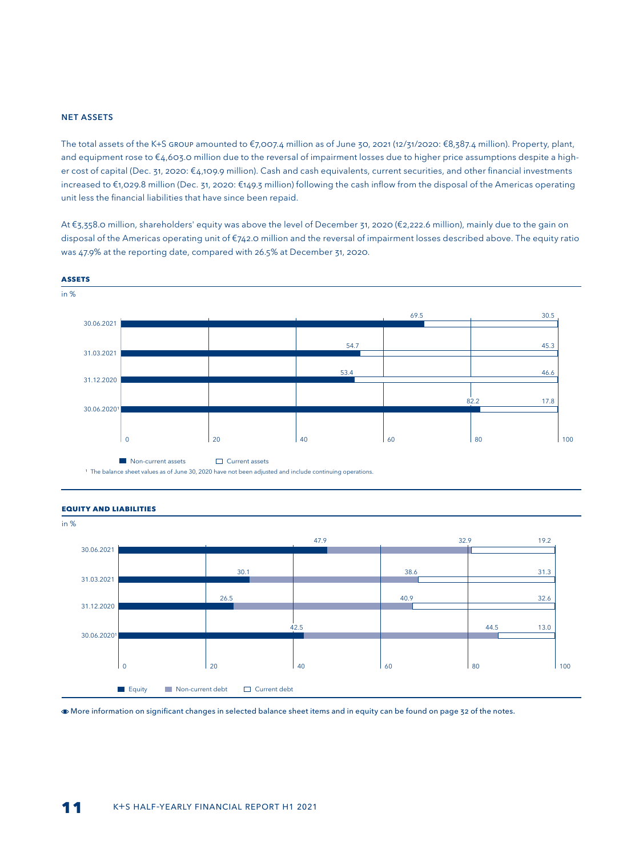#### NET ASSETS

The total assets of the K+S GROUP amounted to €7,007.4 million as of June 30, 2021 (12/31/2020: €8,387.4 million). Property, plant, and equipment rose to €4,603.0 million due to the reversal of impairment losses due to higher price assumptions despite a higher cost of capital (Dec. 31, 2020: €4,109.9 million). Cash and cash equivalents, current securities, and other financial investments increased to €1,029.8 million (Dec. 31, 2020: €149.3 million) following the cash inflow from the disposal of the Americas operating unit less the financial liabilities that have since been repaid.

At €3,358.0 million, shareholders' equity was above the level of December 31, 2020 (€2,222.6 million), mainly due to the gain on disposal of the Americas operating unit of €742.0 million and the reversal of impairment losses described above. The equity ratio was 47.9% at the reporting date, compared with 26.5% at December 31, 2020.







#### More information on significant changes in selected balance sheet items and in equity can be found on page 32 of the notes.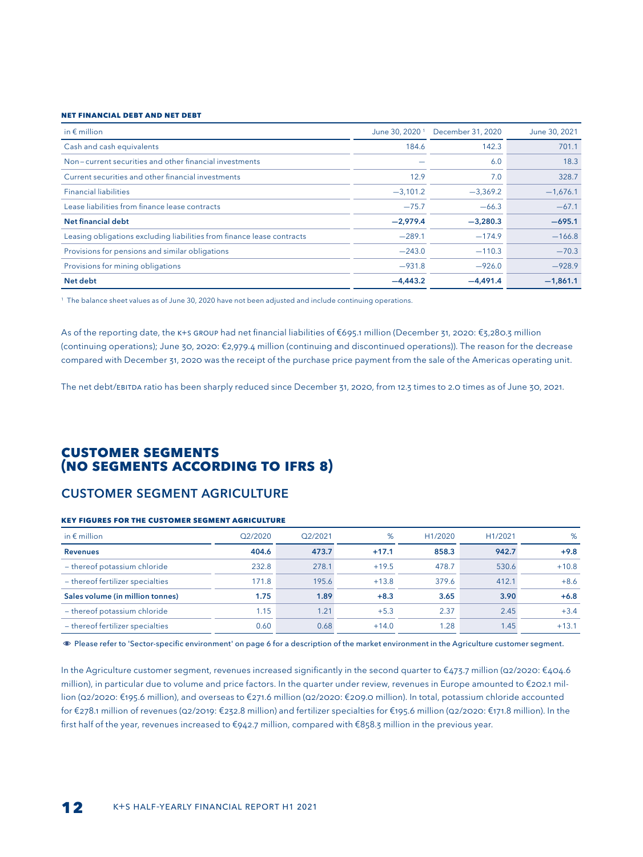#### **Net financial Debt and net debt**

| in $\epsilon$ million                                                  | June 30, 2020 <sup>1</sup> | December 31, 2020 | June 30, 2021 |
|------------------------------------------------------------------------|----------------------------|-------------------|---------------|
| Cash and cash equivalents                                              | 184.6                      | 142.3             | 701.1         |
| Non-current securities and other financial investments                 |                            | 6.0               | 18.3          |
| Current securities and other financial investments                     | 12.9                       | 7.0               | 328.7         |
| <b>Financial liabilities</b>                                           | $-3,101.2$                 | $-3,369.2$        | $-1,676.1$    |
| Lease liabilities from finance lease contracts                         | $-75.7$                    | $-66.3$           | $-67.1$       |
| Net financial debt                                                     | $-2,979.4$                 | $-3,280.3$        | $-695.1$      |
| Leasing obligations excluding liabilities from finance lease contracts | $-289.1$                   | $-174.9$          | $-166.8$      |
| Provisions for pensions and similar obligations                        | $-243.0$                   | $-110.3$          | $-70.3$       |
| Provisions for mining obligations                                      | $-931.8$                   | $-926.0$          | $-928.9$      |
| Net debt                                                               | $-4.443.2$                 | $-4.491.4$        | $-1,861.1$    |

1 The balance sheet values as of June 30, 2020 have not been adjusted and include continuing operations.

As of the reporting date, the K+S GROUP had net financial liabilities of €695.1 million (December 31, 2020: €3,280.3 million (continuing operations); June 30, 2020: €2,979.4 million (continuing and discontinued operations)). The reason for the decrease compared with December 31, 2020 was the receipt of the purchase price payment from the sale of the Americas operating unit.

The net debt/EBITDA ratio has been sharply reduced since December 31, 2020, from 12.3 times to 2.0 times as of June 30, 2021.

## **CUSTOMER SEGMENTS (NO SEGMENTS ACCORDING TO IFRS 8)**

## CUSTOMER SEGMENT AGRICULTURE

#### **Key figures for the customer segment AGRICULTURE**

| in $\epsilon$ million            | Q2/2020 | O <sub>2</sub> /2021 | %       | H <sub>1</sub> /2020 | H <sub>1</sub> /2021 | %       |
|----------------------------------|---------|----------------------|---------|----------------------|----------------------|---------|
| <b>Revenues</b>                  | 404.6   | 473.7                | $+17.1$ | 858.3                | 942.7                | $+9.8$  |
| - thereof potassium chloride     | 232.8   | 278.1                | $+19.5$ | 478.7                | 530.6                | $+10.8$ |
| - thereof fertilizer specialties | 171.8   | 195.6                | $+13.8$ | 379.6                | 412.1                | $+8.6$  |
| Sales volume (in million tonnes) | 1.75    | 1.89                 | $+8.3$  | 3.65                 | 3.90                 | $+6.8$  |
| - thereof potassium chloride     | 1.15    | 1.21                 | $+5.3$  | 2.37                 | 2.45                 | $+3.4$  |
| - thereof fertilizer specialties | 0.60    | 0.68                 | $+14.0$ | 1.28                 | 1.45                 | $+13.1$ |

Please refer to 'Sector-specific environment' on page 6 for a description of the market environment in the Agriculture customer segment.

In the Agriculture customer segment, revenues increased significantly in the second quarter to €473.7 million (Q2/2020: €404.6 million), in particular due to volume and price factors. In the quarter under review, revenues in Europe amounted to €202.1 million (Q2/2020: €195.6 million), and overseas to €271.6 million (Q2/2020: €209.0 million). In total, potassium chloride accounted for €278.1 million of revenues (Q2/2019: €232.8 million) and fertilizer specialties for €195.6 million (Q2/2020: €171.8 million). In the first half of the year, revenues increased to €942.7 million, compared with €858.3 million in the previous year.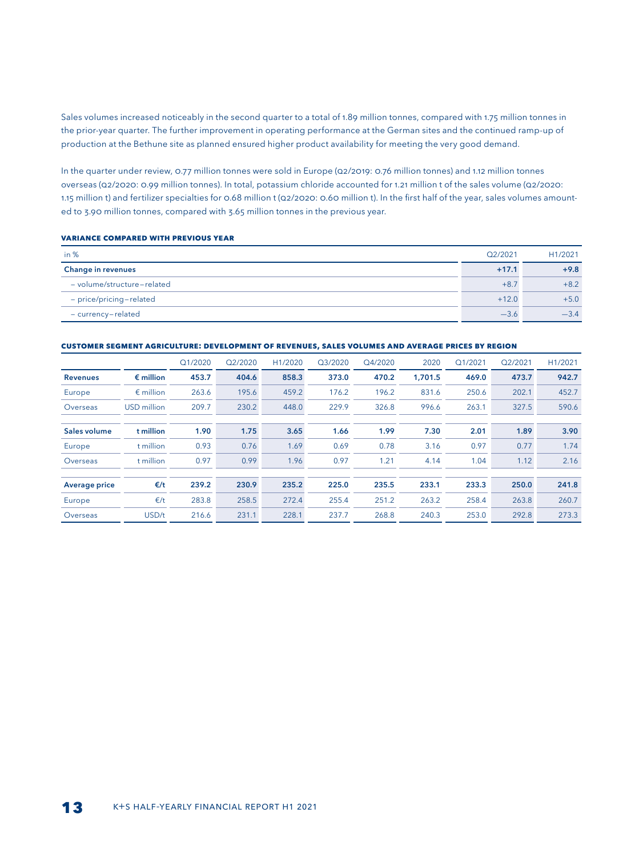Sales volumes increased noticeably in the second quarter to a total of 1.89 million tonnes, compared with 1.75 million tonnes in the prior-year quarter. The further improvement in operating performance at the German sites and the continued ramp-up of production at the Bethune site as planned ensured higher product availability for meeting the very good demand.

In the quarter under review, 0.77 million tonnes were sold in Europe (Q2/2019: 0.76 million tonnes) and 1.12 million tonnes overseas (Q2/2020: 0.99 million tonnes). In total, potassium chloride accounted for 1.21 million t of the sales volume (Q2/2020: 1.15 million t) and fertilizer specialties for 0.68 million t (Q2/2020: 0.60 million t). In the first half of the year, sales volumes amounted to 3.90 million tonnes, compared with 3.65 million tonnes in the previous year.

#### **Variance compared with previous year**

| in $%$                     | Q2/2021 | H1/2021 |
|----------------------------|---------|---------|
| <b>Change in revenues</b>  | $+17.1$ | $+9.8$  |
| - volume/structure-related | $+8.7$  | $+8.2$  |
| - price/pricing-related    | $+12.0$ | $+5.0$  |
| - currency-related         | $-3.6$  |         |

#### **CUSTOMER SEGMENT AGRICULTURE: DEVELOPMENT OF REVENUES, SALES VOLUMES AND AVERAGE PRICES BY REGION**

|                      |                    | Q1/2020 | Q2/2020 | H1/2020 | Q3/2020 | Q4/2020 | 2020    | Q1/2021 | Q2/2021 | H1/2021 |
|----------------------|--------------------|---------|---------|---------|---------|---------|---------|---------|---------|---------|
| <b>Revenues</b>      | $\epsilon$ million | 453.7   | 404.6   | 858.3   | 373.0   | 470.2   | 1.701.5 | 469.0   | 473.7   | 942.7   |
| Europe               | $\epsilon$ million | 263.6   | 195.6   | 459.2   | 176.2   | 196.2   | 831.6   | 250.6   | 202.1   | 452.7   |
| Overseas             | <b>USD</b> million | 209.7   | 230.2   | 448.0   | 229.9   | 326.8   | 996.6   | 263.1   | 327.5   | 590.6   |
|                      |                    |         |         |         |         |         |         |         |         |         |
| Sales volume         | t million          | 1.90    | 1.75    | 3.65    | 1.66    | 1.99    | 7.30    | 2.01    | 1.89    | 3.90    |
| Europe               | t million          | 0.93    | 0.76    | 1.69    | 0.69    | 0.78    | 3.16    | 0.97    | 0.77    | 1.74    |
| Overseas             | t million          | 0.97    | 0.99    | 1.96    | 0.97    | 1.21    | 4.14    | 1.04    | 1.12    | 2.16    |
|                      |                    |         |         |         |         |         |         |         |         |         |
| <b>Average price</b> | $\epsilon$ /t      | 239.2   | 230.9   | 235.2   | 225.0   | 235.5   | 233.1   | 233.3   | 250.0   | 241.8   |
| Europe               | E/t                | 283.8   | 258.5   | 272.4   | 255.4   | 251.2   | 263.2   | 258.4   | 263.8   | 260.7   |
| Overseas             | USD/t              | 216.6   | 231.1   | 228.1   | 237.7   | 268.8   | 240.3   | 253.0   | 292.8   | 273.3   |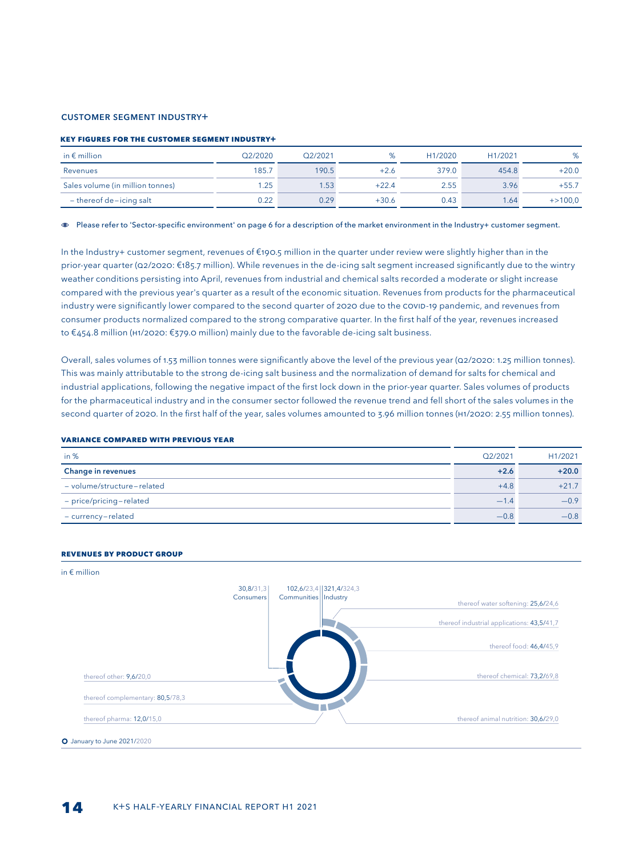#### CUSTOMER SEGMENT INDUSTRY+

#### **Key figures for the customer segment Industry+**

| in $\epsilon$ million            | O <sub>2</sub> /2020 | Q2/2021 |         | H <sub>1</sub> /2020 | H <sub>1</sub> /2021 | %           |
|----------------------------------|----------------------|---------|---------|----------------------|----------------------|-------------|
| Revenues                         | 185.7                | 190.5   | +2.6    | 379.0                | 454.8                | $+20.0$     |
| Sales volume (in million tonnes) | .25                  | .53     | $+22.4$ | 2.55                 | 3.96                 | $+55.7$     |
| $-$ thereof de-icing salt        | 0.22                 | 0.29    | $+30.6$ | 0.43                 | 1.64                 | $+ > 100,0$ |

Please refer to 'Sector-specific environment' on page 6 for a description of the market environment in the Industry+ customer segment.

In the Industry+ customer segment, revenues of €190.5 million in the quarter under review were slightly higher than in the prior-year quarter (Q2/2020: €185.7 million). While revenues in the de-icing salt segment increased significantly due to the wintry weather conditions persisting into April, revenues from industrial and chemical salts recorded a moderate or slight increase compared with the previous year's quarter as a result of the economic situation. Revenues from products for the pharmaceutical industry were significantly lower compared to the second quarter of 2020 due to the COVID-19 pandemic, and revenues from consumer products normalized compared to the strong comparative quarter. In the first half of the year, revenues increased to €454.8 million (H1/2020: €379.0 million) mainly due to the favorable de-icing salt business.

Overall, sales volumes of 1.53 million tonnes were significantly above the level of the previous year (Q2/2020: 1.25 million tonnes). This was mainly attributable to the strong de-icing salt business and the normalization of demand for salts for chemical and industrial applications, following the negative impact of the first lock down in the prior-year quarter. Sales volumes of products for the pharmaceutical industry and in the consumer sector followed the revenue trend and fell short of the sales volumes in the second quarter of 2020. In the first half of the year, sales volumes amounted to 3.96 million tonnes (H1/2020: 2.55 million tonnes).

#### **VARIANCE COMPARED WITH PREVIOUS YEAR**

| in $%$                     | Q2/2021 | H1/2021 |
|----------------------------|---------|---------|
| <b>Change in revenues</b>  | $+2.6$  | $+20.0$ |
| - volume/structure-related | $+4.8$  | $+217$  |
| - price/pricing-related    | $-14$   | $-0.9$  |
| - currency-related         | $-0.8$  | $-0.8$  |

#### **Revenues by product group**

#### in € million

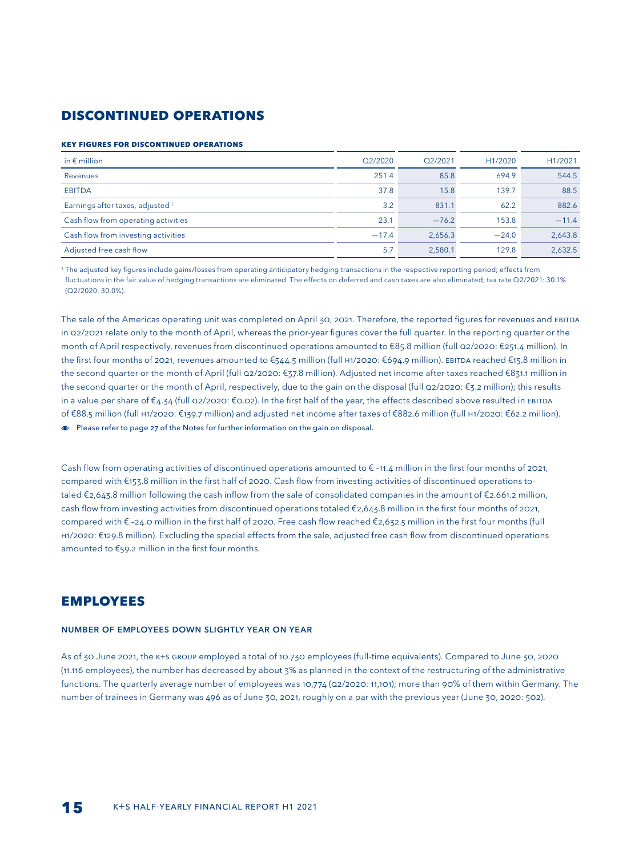## **Discontinued operations**

#### **Key figures for discontinued operations**

| in $\epsilon$ million                       | Q2/2020 | Q2/2021 | H1/2020 | H1/2021 |
|---------------------------------------------|---------|---------|---------|---------|
| Revenues                                    | 251.4   | 85.8    | 694.9   | 544.5   |
| <b>EBITDA</b>                               | 37.8    | 15.8    | 139.7   | 88.5    |
| Earnings after taxes, adjusted <sup>1</sup> | 3.2     | 831.1   | 62.2    | 882.6   |
| Cash flow from operating activities         | 23.1    | $-76.2$ | 153.8   | $-11.4$ |
| Cash flow from investing activities         | $-17.4$ | 2,656.3 | $-24.0$ | 2,643.8 |
| Adjusted free cash flow                     | 5.7     | 2,580.1 | 129.8   | 2,632.5 |

<sup>1</sup> The adjusted key figures include gains/losses from operating anticipatory hedging transactions in the respective reporting period; effects from fluctuations in the fair value of hedging transactions are eliminated. The effects on deferred and cash taxes are also eliminated; tax rate Q2/2021: 30.1% (Q2/2020: 30.0%).

The sale of the Americas operating unit was completed on April 30, 2021. Therefore, the reported figures for revenues and EBITDA in Q2/2021 relate only to the month of April, whereas the prior-year figures cover the full quarter. In the reporting quarter or the month of April respectively, revenues from discontinued operations amounted to €85.8 million (full Q2/2020: €251.4 million). In the first four months of 2021, revenues amounted to €544.5 million (full H1/2020: €694.9 million). EBITDA reached €15.8 million in the second quarter or the month of April (full Q2/2020: €37.8 million). Adjusted net income after taxes reached €831.1 million in the second quarter or the month of April, respectively, due to the gain on the disposal (full Q2/2020: €3.2 million); this results in a value per share of €4.34 (full Q2/2020: €0.02). In the first half of the year, the effects described above resulted in EBITDA of €88.5 million (full H1/2020: €139.7 million) and adjusted net income after taxes of €882.6 million (full H1/2020: €62.2 million). Please refer to page 27 of the Notes for further information on the gain on disposal.

Cash flow from operating activities of discontinued operations amounted to  $\epsilon$ -11.4 million in the first four months of 2021, compared with €153.8 million in the first half of 2020. Cash flow from investing activities of discontinued operations totaled €2,643.8 million following the cash inflow from the sale of consolidated companies in the amount of €2.661.2 million, cash flow from investing activities from discontinued operations totaled €2,643.8 million in the first four months of 2021, compared with € –24.0 million in the first half of 2020. Free cash flow reached €2,632.5 million in the first four months (full H1/2020: €129.8 million). Excluding the special effects from the sale, adjusted free cash flow from discontinued operations amounted to €59.2 million in the first four months.

## **EMPLOYEES**

#### NUMBER OF EMPLOYEES DOWN SLIGHTLY YEAR ON YEAR

As of 30 June 2021, the K+S GROUP employed a total of 10.730 employees (full-time equivalents). Compared to June 30, 2020 (11.116 employees), the number has decreased by about 3% as planned in the context of the restructuring of the administrative functions. The quarterly average number of employees was 10,774 (Q2/2020: 11,101); more than 90% of them within Germany. The number of trainees in Germany was 496 as of June 30, 2021, roughly on a par with the previous year (June 30, 2020: 502).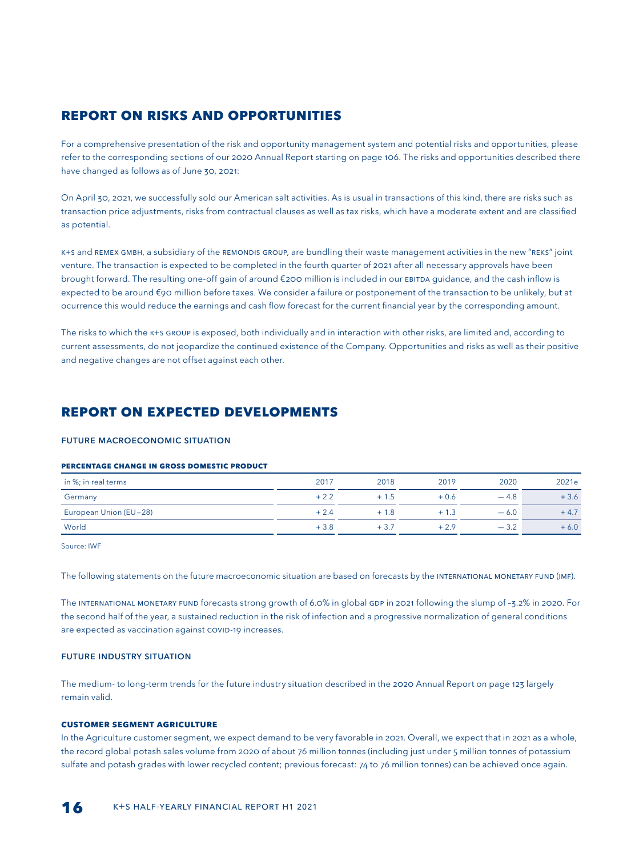## **REPORT ON RISKS AND OPPORTUNITIES**

For a comprehensive presentation of the risk and opportunity management system and potential risks and opportunities, please refer to the corresponding sections of our 2020 Annual Report starting on page 106. The risks and opportunities described there have changed as follows as of June 30, 2021:

On April 30, 2021, we successfully sold our American salt activities. As is usual in transactions of this kind, there are risks such as transaction price adjustments, risks from contractual clauses as well as tax risks, which have a moderate extent and are classified as potential.

K+S and REMEX GmbH, a subsidiary of the REMONDIS GROUP, are bundling their waste management activities in the new "REKS" joint venture. The transaction is expected to be completed in the fourth quarter of 2021 after all necessary approvals have been brought forward. The resulting one-off gain of around €200 million is included in our EBITDA guidance, and the cash inflow is expected to be around €90 million before taxes. We consider a failure or postponement of the transaction to be unlikely, but at ocurrence this would reduce the earnings and cash flow forecast for the current financial year by the corresponding amount.

The risks to which the K+s GROUP is exposed, both individually and in interaction with other risks, are limited and, according to current assessments, do not jeopardize the continued existence of the Company. Opportunities and risks as well as their positive and negative changes are not offset against each other.

## **REPORT ON EXPECTED DEVELOPMENTS**

#### FUTURE MACROECONOMIC SITUATION

#### **Percentage change in gross domestic product**

| in %; in real terms    | 2017   | 2018   | 2019   | 2020   | 2021e  |
|------------------------|--------|--------|--------|--------|--------|
| Germany                | $+2.2$ | $+1.5$ | $+0.6$ | $-4.8$ | $+3.6$ |
| European Union (EU-28) | $+2.4$ | $+1.8$ | $+1.3$ | $-6.0$ | $+4.7$ |
| World                  | $+3.8$ | $+3.7$ |        | $-3.2$ | $+6.0$ |

Source: IWF

The following statements on the future macroeconomic situation are based on forecasts by the INTERNATIONAL MONETARY FUND (IMF).

The INTERNATIONAL MONETARY FUND forecasts strong growth of 6.0% in global GDP in 2021 following the slump of –3.2% in 2020. For the second half of the year, a sustained reduction in the risk of infection and a progressive normalization of general conditions are expected as vaccination against COVID-19 increases.

#### FUTURE INDUSTRY SITUATION

The medium- to long-term trends for the future industry situation described in the 2020 Annual Report on page 123 largely remain valid.

#### **CUSTOMER SEGMENT AGRICULTURE**

In the Agriculture customer segment, we expect demand to be very favorable in 2021. Overall, we expect that in 2021 as a whole, the record global potash sales volume from 2020 of about 76 million tonnes (including just under 5 million tonnes of potassium sulfate and potash grades with lower recycled content; previous forecast: 74 to 76 million tonnes) can be achieved once again.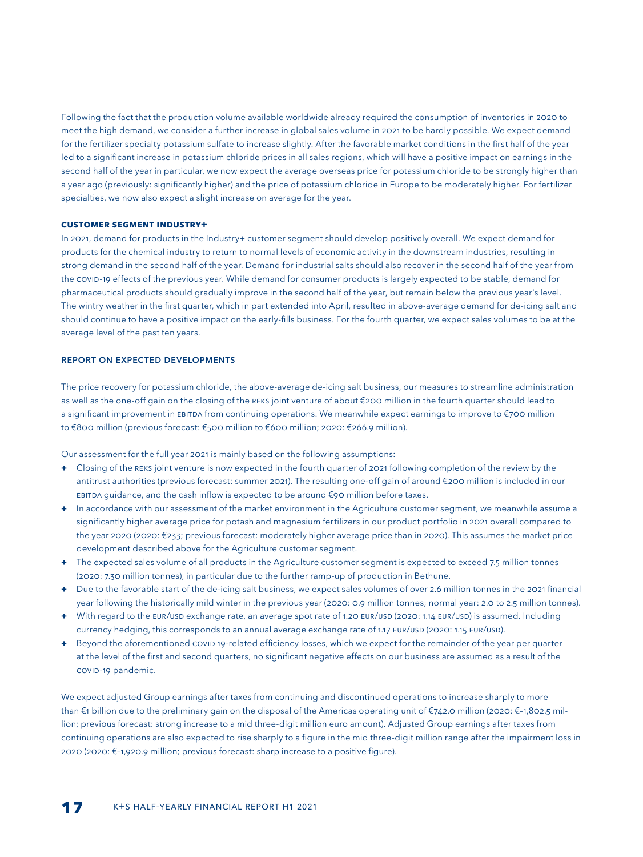Following the fact that the production volume available worldwide already required the consumption of inventories in 2020 to meet the high demand, we consider a further increase in global sales volume in 2021 to be hardly possible. We expect demand for the fertilizer specialty potassium sulfate to increase slightly. After the favorable market conditions in the first half of the year led to a significant increase in potassium chloride prices in all sales regions, which will have a positive impact on earnings in the second half of the year in particular, we now expect the average overseas price for potassium chloride to be strongly higher than a year ago (previously: significantly higher) and the price of potassium chloride in Europe to be moderately higher. For fertilizer specialties, we now also expect a slight increase on average for the year.

#### **CUSTOMER SEGMENT INDUSTRY+**

In 2021, demand for products in the Industry+ customer segment should develop positively overall. We expect demand for products for the chemical industry to return to normal levels of economic activity in the downstream industries, resulting in strong demand in the second half of the year. Demand for industrial salts should also recover in the second half of the year from the COVID-19 effects of the previous year. While demand for consumer products is largely expected to be stable, demand for pharmaceutical products should gradually improve in the second half of the year, but remain below the previous year's level. The wintry weather in the first quarter, which in part extended into April, resulted in above-average demand for de-icing salt and should continue to have a positive impact on the early-fills business. For the fourth quarter, we expect sales volumes to be at the average level of the past ten years.

#### REPORT ON EXPECTED DEVELOPMENTS

The price recovery for potassium chloride, the above-average de-icing salt business, our measures to streamline administration as well as the one-off gain on the closing of the REKS joint venture of about €200 million in the fourth quarter should lead to a significant improvement in EBITDA from continuing operations. We meanwhile expect earnings to improve to €700 million to €800 million (previous forecast: €500 million to €600 million; 2020: €266.9 million).

Our assessment for the full year 2021 is mainly based on the following assumptions:

- **+** Closing of the REKS joint venture is now expected in the fourth quarter of 2021 following completion of the review by the antitrust authorities (previous forecast: summer 2021). The resulting one-off gain of around €200 million is included in our EBITDA guidance, and the cash inflow is expected to be around €90 million before taxes.
- **+** In accordance with our assessment of the market environment in the Agriculture customer segment, we meanwhile assume a significantly higher average price for potash and magnesium fertilizers in our product portfolio in 2021 overall compared to the year 2020 (2020: €233; previous forecast: moderately higher average price than in 2020). This assumes the market price development described above for the Agriculture customer segment.
- **+** The expected sales volume of all products in the Agriculture customer segment is expected to exceed 7.5 million tonnes (2020: 7.30 million tonnes), in particular due to the further ramp-up of production in Bethune.
- **+** Due to the favorable start of the de-icing salt business, we expect sales volumes of over 2.6 million tonnes in the 2021 financial year following the historically mild winter in the previous year (2020: 0.9 million tonnes; normal year: 2.0 to 2.5 million tonnes).
- **+** With regard to the EUR/USD exchange rate, an average spot rate of 1.20 EUR/USD (2020: 1.14 EUR/USD) is assumed. Including currency hedging, this corresponds to an annual average exchange rate of 1.17 EUR/USD (2020: 1.15 EUR/USD).
- **+** Beyond the aforementioned COVID 19-related efficiency losses, which we expect for the remainder of the year per quarter at the level of the first and second quarters, no significant negative effects on our business are assumed as a result of the COVID-19 pandemic.

We expect adjusted Group earnings after taxes from continuing and discontinued operations to increase sharply to more than €1 billion due to the preliminary gain on the disposal of the Americas operating unit of €742.0 million (2020: €–1,802.5 million; previous forecast: strong increase to a mid three-digit million euro amount). Adjusted Group earnings after taxes from continuing operations are also expected to rise sharply to a figure in the mid three-digit million range after the impairment loss in 2020 (2020: €–1,920.9 million; previous forecast: sharp increase to a positive figure).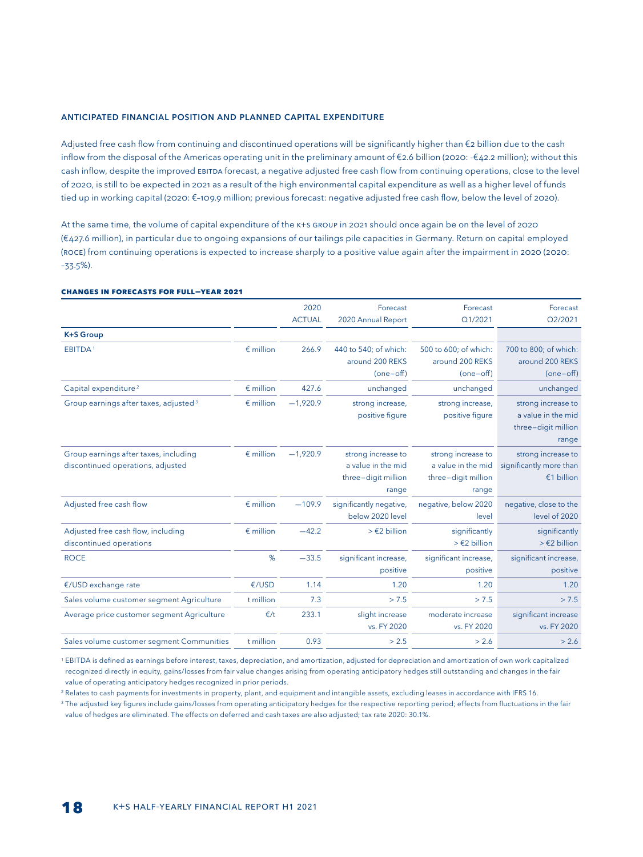#### ANTICIPATED FINANCIAL POSITION AND PLANNED CAPITAL EXPENDITURE

Adjusted free cash flow from continuing and discontinued operations will be significantly higher than €2 billion due to the cash inflow from the disposal of the Americas operating unit in the preliminary amount of €2.6 billion (2020: -€42.2 million); without this cash inflow, despite the improved EBITDA forecast, a negative adjusted free cash flow from continuing operations, close to the level of 2020, is still to be expected in 2021 as a result of the high environmental capital expenditure as well as a higher level of funds tied up in working capital (2020: €–109.9 million; previous forecast: negative adjusted free cash flow, below the level of 2020).

At the same time, the volume of capital expenditure of the K+S Group in 2021 should once again be on the level of 2020 (€427.6 million), in particular due to ongoing expansions of our tailings pile capacities in Germany. Return on capital employed (ROCE) from continuing operations is expected to increase sharply to a positive value again after the impairment in 2020 (2020: –33.5%).

#### **CHANGES IN FORECASTS FOR FULL-YEAR 2021**

|                                                                            |                    | 2020          | Forecast                                                                 | Forecast                                                                 | Forecast                                                                 |
|----------------------------------------------------------------------------|--------------------|---------------|--------------------------------------------------------------------------|--------------------------------------------------------------------------|--------------------------------------------------------------------------|
|                                                                            |                    | <b>ACTUAL</b> | 2020 Annual Report                                                       | Q1/2021                                                                  | Q2/2021                                                                  |
| <b>K+S Group</b>                                                           |                    |               |                                                                          |                                                                          |                                                                          |
| EBITDA <sup>1</sup>                                                        | $\epsilon$ million | 266.9         | 440 to 540; of which:<br>around 200 REKS<br>$(one-off)$                  | 500 to 600; of which:<br>around 200 REKS<br>$(one-off)$                  | 700 to 800; of which:<br>around 200 REKS<br>(one-off)                    |
| Capital expenditure <sup>2</sup>                                           | $\epsilon$ million | 427.6         | unchanged                                                                | unchanged                                                                | unchanged                                                                |
| Group earnings after taxes, adjusted <sup>3</sup>                          | $\epsilon$ million | $-1,920.9$    | strong increase,<br>positive figure                                      | strong increase,<br>positive figure                                      | strong increase to<br>a value in the mid<br>three-digit million<br>range |
| Group earnings after taxes, including<br>discontinued operations, adjusted | $\epsilon$ million | $-1,920.9$    | strong increase to<br>a value in the mid<br>three-digit million<br>range | strong increase to<br>a value in the mid<br>three-digit million<br>range | strong increase to<br>significantly more than<br>€1 billion              |
| Adjusted free cash flow                                                    | $\epsilon$ million | $-109.9$      | significantly negative,<br>below 2020 level                              | negative, below 2020<br>level                                            | negative, close to the<br>level of 2020                                  |
| Adjusted free cash flow, including<br>discontinued operations              | $\epsilon$ million | $-42.2$       | $>$ $\in$ 2 billion                                                      | significantly<br>$\geq$ $\in$ 2 billion                                  | significantly<br>$\geq$ £2 billion                                       |
| <b>ROCE</b>                                                                | %                  | $-33.5$       | significant increase,<br>positive                                        | significant increase,<br>positive                                        | significant increase,<br>positive                                        |
| €/USD exchange rate                                                        | €/USD              | 1.14          | 1.20                                                                     | 1.20                                                                     | 1.20                                                                     |
| Sales volume customer segment Agriculture                                  | t million          | 7.3           | > 7.5                                                                    | > 7.5                                                                    | > 7.5                                                                    |
| Average price customer segment Agriculture                                 | E/t                | 233.1         | slight increase<br>vs. FY 2020                                           | moderate increase<br>vs. FY 2020                                         | significant increase<br>vs. FY 2020                                      |
| Sales volume customer segment Communities                                  | t million          | 0.93          | > 2.5                                                                    | > 2.6                                                                    | > 2.6                                                                    |

<sup>1</sup> EBITDA is defined as earnings before interest, taxes, depreciation, and amortization, adjusted for depreciation and amortization of own work capitalized recognized directly in equity, gains/losses from fair value changes arising from operating anticipatory hedges still outstanding and changes in the fair value of operating anticipatory hedges recognized in prior periods.

<sup>2</sup> Relates to cash payments for investments in property, plant, and equipment and intangible assets, excluding leases in accordance with IFRS 16.

<sup>3</sup> The adjusted key figures include gains/losses from operating anticipatory hedges for the respective reporting period; effects from fluctuations in the fair value of hedges are eliminated. The effects on deferred and cash taxes are also adjusted; tax rate 2020: 30.1%.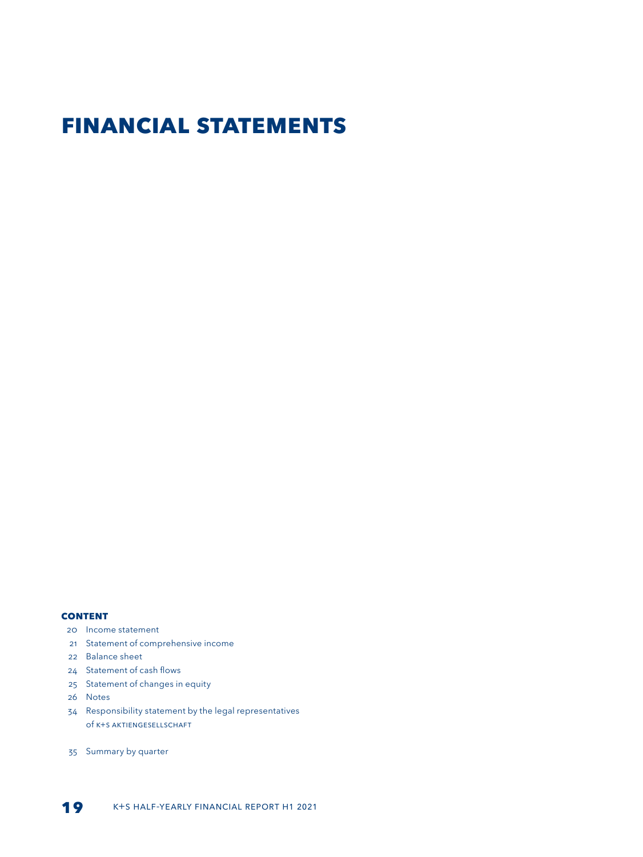# **Financial statements**

#### **Content**

- 20 Income statement
- 21 Statement of comprehensive income
- 22 Balance sheet
- 24 Statement of cash flows
- 25 Statement of changes in equity
- 26 [N](#page-0-0)otes
- 34 Responsibility statement by the legal representatives of K+S Aktiengesellschaft
- 35 Summary by quarter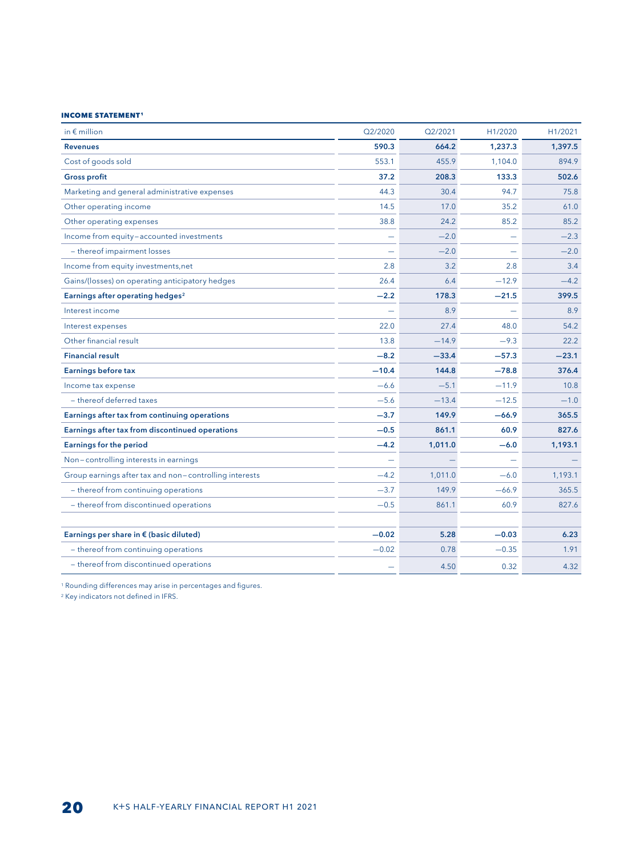#### **INCOME STATEMENT<sup>1</sup>**

| in $\epsilon$ million                                  | Q2/2020 | Q2/2021 | H1/2020 | H1/2021 |
|--------------------------------------------------------|---------|---------|---------|---------|
| <b>Revenues</b>                                        | 590.3   | 664.2   | 1,237.3 | 1,397.5 |
| Cost of goods sold                                     | 553.1   | 455.9   | 1,104.0 | 894.9   |
| <b>Gross profit</b>                                    | 37.2    | 208.3   | 133.3   | 502.6   |
| Marketing and general administrative expenses          | 44.3    | 30.4    | 94.7    | 75.8    |
| Other operating income                                 | 14.5    | 17.0    | 35.2    | 61.0    |
| Other operating expenses                               | 38.8    | 24.2    | 85.2    | 85.2    |
| Income from equity-accounted investments               |         | $-2.0$  |         | $-2.3$  |
| - thereof impairment losses                            |         | $-2.0$  |         | $-2.0$  |
| Income from equity investments, net                    | 2.8     | 3.2     | 2.8     | 3.4     |
| Gains/(losses) on operating anticipatory hedges        | 26.4    | 6.4     | $-12.9$ | $-4.2$  |
| Earnings after operating hedges <sup>2</sup>           | $-2.2$  | 178.3   | $-21.5$ | 399.5   |
| Interest income                                        |         | 8.9     |         | 8.9     |
| Interest expenses                                      | 22.0    | 27.4    | 48.0    | 54.2    |
| Other financial result                                 | 13.8    | $-14.9$ | $-9.3$  | 22.2    |
| <b>Financial result</b>                                | $-8.2$  | $-33.4$ | $-57.3$ | $-23.1$ |
| <b>Earnings before tax</b>                             | $-10.4$ | 144.8   | $-78.8$ | 376.4   |
| Income tax expense                                     | $-6.6$  | $-5.1$  | $-11.9$ | 10.8    |
| - thereof deferred taxes                               | $-5.6$  | $-13.4$ | $-12.5$ | $-1.0$  |
| Earnings after tax from continuing operations          | $-3.7$  | 149.9   | $-66.9$ | 365.5   |
| Earnings after tax from discontinued operations        | $-0.5$  | 861.1   | 60.9    | 827.6   |
| <b>Earnings for the period</b>                         | $-4.2$  | 1,011.0 | $-6.0$  | 1,193.1 |
| Non-controlling interests in earnings                  |         |         |         |         |
| Group earnings after tax and non-controlling interests | $-4.2$  | 1,011.0 | $-6.0$  | 1,193.1 |
| - thereof from continuing operations                   | $-3.7$  | 149.9   | $-66.9$ | 365.5   |
| - thereof from discontinued operations                 | $-0.5$  | 861.1   | 60.9    | 827.6   |
|                                                        |         |         |         |         |
| Earnings per share in € (basic diluted)                | $-0.02$ | 5.28    | $-0.03$ | 6.23    |
| - thereof from continuing operations                   | $-0.02$ | 0.78    | $-0.35$ | 1.91    |
| - thereof from discontinued operations                 |         | 4.50    | 0.32    | 4.32    |

<sup>1</sup> Rounding differences may arise in percentages and figures.

<sup>2</sup> Key indicators not defined in IFRS.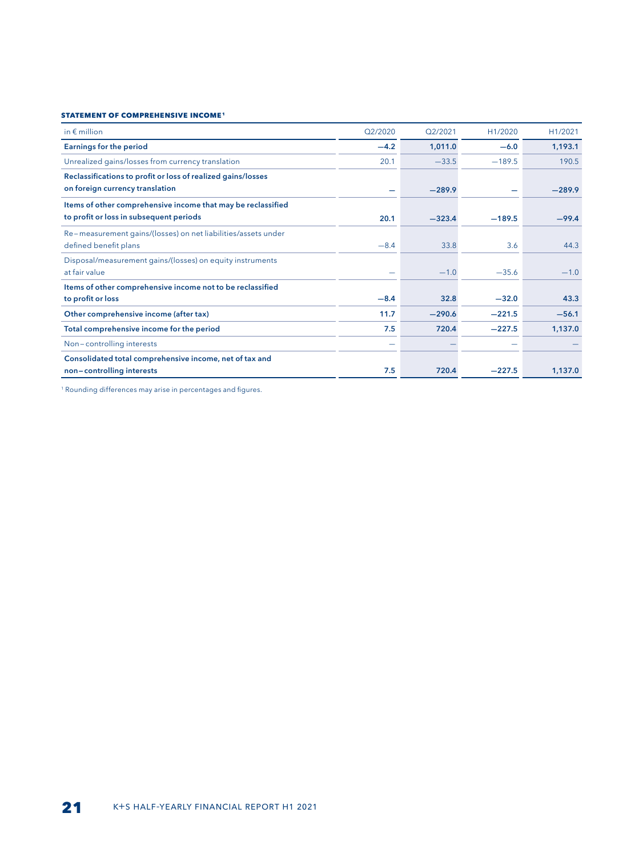#### **Statement of comprehensive income1**

| in $\notin$ million                                           | Q2/2020 | O <sub>2</sub> /2021 | H1/2020  | H1/2021  |
|---------------------------------------------------------------|---------|----------------------|----------|----------|
| <b>Earnings for the period</b>                                | $-4.2$  | 1,011.0              | $-6.0$   | 1,193.1  |
| Unrealized gains/losses from currency translation             | 20.1    | $-33.5$              | $-189.5$ | 190.5    |
| Reclassifications to profit or loss of realized gains/losses  |         |                      |          |          |
| on foreign currency translation                               | -       | $-289.9$             |          | $-289.9$ |
| Items of other comprehensive income that may be reclassified  |         |                      |          |          |
| to profit or loss in subsequent periods                       | 20.1    | $-323.4$             | $-189.5$ | $-99.4$  |
| Re-measurement gains/(losses) on net liabilities/assets under |         |                      |          |          |
| defined benefit plans                                         | $-8.4$  | 33.8                 | 3.6      | 44.3     |
| Disposal/measurement gains/(losses) on equity instruments     |         |                      |          |          |
| at fair value                                                 |         | $-1.0$               | $-35.6$  | $-1.0$   |
| Items of other comprehensive income not to be reclassified    |         |                      |          |          |
| to profit or loss                                             | $-8.4$  | 32.8                 | $-32.0$  | 43.3     |
| Other comprehensive income (after tax)                        | 11.7    | $-290.6$             | $-221.5$ | $-56.1$  |
| Total comprehensive income for the period                     | 7.5     | 720.4                | $-227.5$ | 1,137.0  |
| Non-controlling interests                                     | -       |                      |          |          |
| Consolidated total comprehensive income, net of tax and       |         |                      |          |          |
| non-controlling interests                                     | 7.5     | 720.4                | $-227.5$ | 1,137.0  |

<sup>1</sup> Rounding differences may arise in percentages and figures.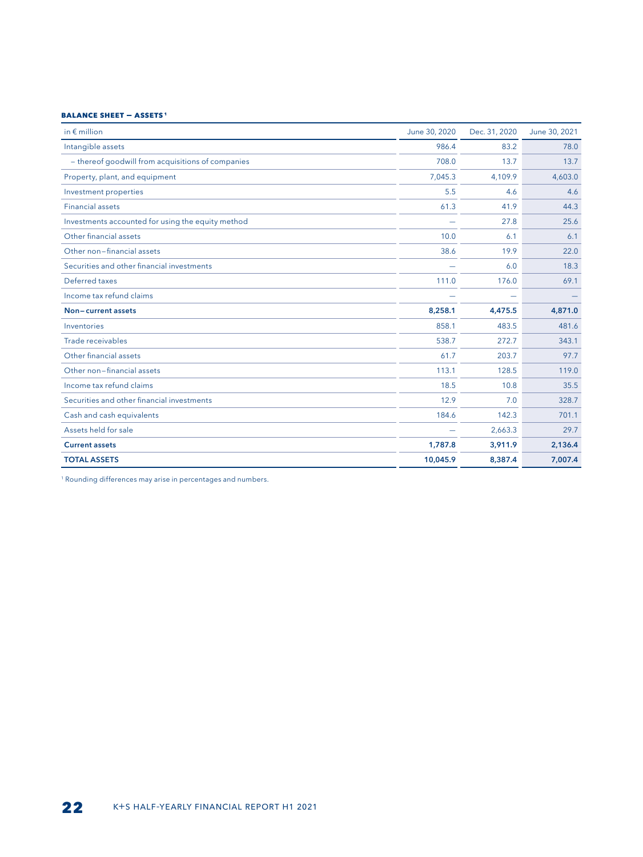#### **BALANCE SHEET -ASSETS 1**

| in $\notin$ million                               | June 30, 2020 | Dec. 31, 2020 | June 30, 2021 |
|---------------------------------------------------|---------------|---------------|---------------|
| Intangible assets                                 | 986.4         | 83.2          | 78.0          |
| - thereof goodwill from acquisitions of companies | 708.0         | 13.7          | 13.7          |
| Property, plant, and equipment                    | 7,045.3       | 4,109.9       | 4,603.0       |
| Investment properties                             | 5.5           | 4.6           | 4.6           |
| <b>Financial assets</b>                           | 61.3          | 41.9          | 44.3          |
| Investments accounted for using the equity method |               | 27.8          | 25.6          |
| Other financial assets                            | 10.0          | 6.1           | 6.1           |
| Other non-financial assets                        | 38.6          | 19.9          | 22.0          |
| Securities and other financial investments        |               | 6.0           | 18.3          |
| Deferred taxes                                    | 111.0         | 176.0         | 69.1          |
| Income tax refund claims                          |               |               |               |
| Non-current assets                                | 8,258.1       | 4,475.5       | 4,871.0       |
| Inventories                                       | 858.1         | 483.5         | 481.6         |
| Trade receivables                                 | 538.7         | 272.7         | 343.1         |
| Other financial assets                            | 61.7          | 203.7         | 97.7          |
| Other non-financial assets                        | 113.1         | 128.5         | 119.0         |
| Income tax refund claims                          | 18.5          | 10.8          | 35.5          |
| Securities and other financial investments        | 12.9          | 7.0           | 328.7         |
| Cash and cash equivalents                         | 184.6         | 142.3         | 701.1         |
| Assets held for sale                              |               | 2,663.3       | 29.7          |
| <b>Current assets</b>                             | 1,787.8       | 3,911.9       | 2,136.4       |
| <b>TOTAL ASSETS</b>                               | 10,045.9      | 8,387.4       | 7,007.4       |

<sup>1</sup> Rounding differences may arise in percentages and numbers.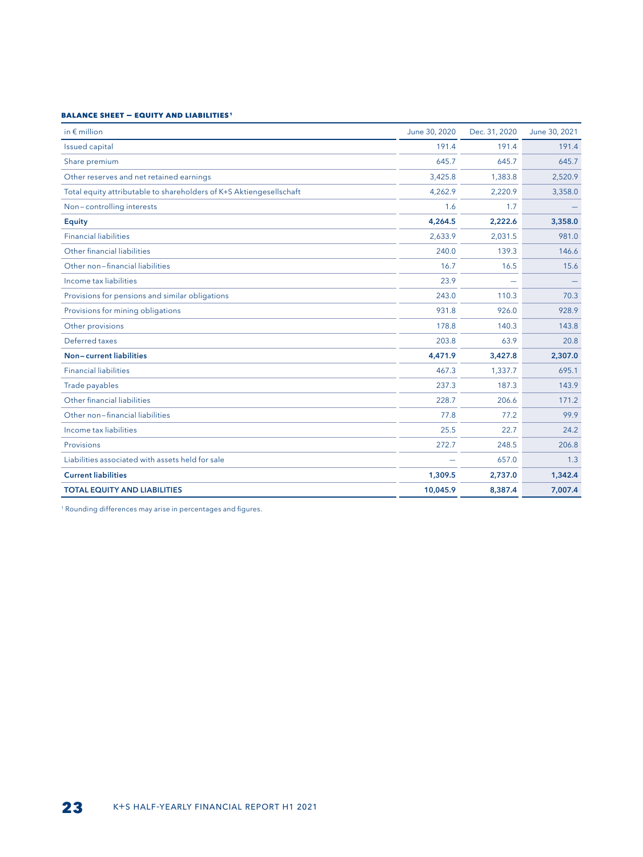#### **BALANCE SHEET - EQUITY AND LIABILITIES1**

| in $\epsilon$ million                                               | June 30, 2020 | Dec. 31, 2020 | June 30, 2021 |
|---------------------------------------------------------------------|---------------|---------------|---------------|
| <b>Issued capital</b>                                               | 191.4         | 191.4         | 191.4         |
| Share premium                                                       | 645.7         | 645.7         | 645.7         |
| Other reserves and net retained earnings                            | 3,425.8       | 1,383.8       | 2,520.9       |
| Total equity attributable to shareholders of K+S Aktiengesellschaft | 4,262.9       | 2,220.9       | 3,358.0       |
| Non-controlling interests                                           | 1.6           | 1.7           |               |
| <b>Equity</b>                                                       | 4,264.5       | 2,222.6       | 3,358.0       |
| <b>Financial liabilities</b>                                        | 2,633.9       | 2,031.5       | 981.0         |
| Other financial liabilities                                         | 240.0         | 139.3         | 146.6         |
| Other non-financial liabilities                                     | 16.7          | 16.5          | 15.6          |
| Income tax liabilities                                              | 23.9          |               |               |
| Provisions for pensions and similar obligations                     | 243.0         | 110.3         | 70.3          |
| Provisions for mining obligations                                   | 931.8         | 926.0         | 928.9         |
| Other provisions                                                    | 178.8         | 140.3         | 143.8         |
| Deferred taxes                                                      | 203.8         | 63.9          | 20.8          |
| Non-current liabilities                                             | 4,471.9       | 3,427.8       | 2,307.0       |
| <b>Financial liabilities</b>                                        | 467.3         | 1,337.7       | 695.1         |
| Trade payables                                                      | 237.3         | 187.3         | 143.9         |
| Other financial liabilities                                         | 228.7         | 206.6         | 171.2         |
| Other non-financial liabilities                                     | 77.8          | 77.2          | 99.9          |
| Income tax liabilities                                              | 25.5          | 22.7          | 24.2          |
| Provisions                                                          | 272.7         | 248.5         | 206.8         |
| Liabilities associated with assets held for sale                    |               | 657.0         | 1.3           |
| <b>Current liabilities</b>                                          | 1,309.5       | 2,737.0       | 1,342.4       |
| <b>TOTAL EQUITY AND LIABILITIES</b>                                 | 10,045.9      | 8,387.4       | 7,007.4       |

<sup>1</sup> Rounding differences may arise in percentages and figures.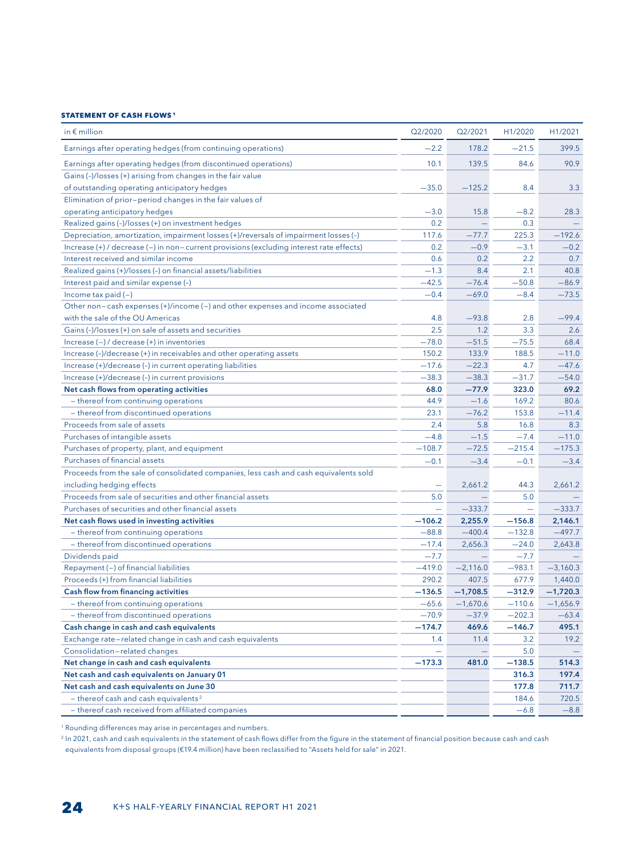#### **STATEMENT OF CASH FLOWS 1**

| Q2/2020<br>Q2/2021<br>H1/2020<br>in $\epsilon$ million                                                             | H1/2021    |
|--------------------------------------------------------------------------------------------------------------------|------------|
| $-2.2$<br>Earnings after operating hedges (from continuing operations)<br>178.2<br>$-21.5$                         | 399.5      |
| 84.6<br>Earnings after operating hedges (from discontinued operations)<br>10.1<br>139.5                            | 90.9       |
| Gains (-)/losses (+) arising from changes in the fair value                                                        |            |
| of outstanding operating anticipatory hedges<br>$-35.0$<br>$-125.2$<br>8.4                                         | 3.3        |
| Elimination of prior-period changes in the fair values of                                                          |            |
| operating anticipatory hedges<br>$-3.0$<br>15.8<br>$-8.2$                                                          | 28.3       |
| 0.2<br>0.3<br>Realized gains (-)/losses (+) on investment hedges                                                   |            |
| Depreciation, amortization, impairment losses (+)/reversals of impairment losses (-)<br>117.6<br>225.3<br>$-77.7$  | $-192.6$   |
| 0.2<br>Increase (+) / decrease (-) in non-current provisions (excluding interest rate effects)<br>$-0.9$<br>$-3.1$ | $-0.2$     |
| 2.2<br>Interest received and similar income<br>0.6<br>0.2                                                          | 0.7        |
| $-1.3$<br>Realized gains (+)/losses (-) on financial assets/liabilities<br>8.4<br>2.1                              | 40.8       |
| $-42.5$<br>$-76.4$<br>$-50.8$<br>Interest paid and similar expense (-)                                             | $-86.9$    |
| $-0.4$<br>$-69.0$<br>$-8.4$<br>Income tax paid $(-)$                                                               | $-73.5$    |
| Other non-cash expenses (+)/income (-) and other expenses and income associated                                    |            |
| with the sale of the OU Americas<br>$-93.8$<br>4.8<br>2.8                                                          | $-99.4$    |
| 2.5<br>Gains (-)/losses (+) on sale of assets and securities<br>1.2<br>3.3                                         | 2.6        |
| $-51.5$<br>Increase (-) / decrease (+) in inventories<br>$-78.0$<br>$-75.5$                                        | 68.4       |
| 150.2<br>Increase (-)/decrease (+) in receivables and other operating assets<br>133.9<br>188.5                     | $-11.0$    |
| $-17.6$<br>$-22.3$<br>4.7<br>Increase (+)/decrease (-) in current operating liabilities                            | $-47.6$    |
| Increase (+)/decrease (-) in current provisions<br>$-38.3$<br>$-38.3$<br>$-31.7$                                   | $-54.0$    |
| Net cash flows from operating activities<br>68.0<br>$-77.9$<br>323.0                                               | 69.2       |
| - thereof from continuing operations<br>44.9<br>$-1.6$<br>169.2                                                    | 80.6       |
| $-76.2$<br>- thereof from discontinued operations<br>23.1<br>153.8                                                 | $-11.4$    |
| Proceeds from sale of assets<br>2.4<br>5.8<br>16.8                                                                 | 8.3        |
| Purchases of intangible assets<br>$-4.8$<br>$-1.5$<br>$-7.4$                                                       | $-11.0$    |
| Purchases of property, plant, and equipment<br>$-108.7$<br>$-72.5$<br>$-215.4$                                     | $-175.3$   |
| Purchases of financial assets<br>$-0.1$<br>$-3.4$<br>$-0.1$                                                        | $-3.4$     |
| Proceeds from the sale of consolidated companies, less cash and cash equivalents sold                              |            |
| including hedging effects<br>2,661.2<br>44.3                                                                       | 2,661.2    |
| Proceeds from sale of securities and other financial assets<br>5.0<br>5.0                                          |            |
| Purchases of securities and other financial assets<br>$-333.7$<br>$\equiv$                                         | $-333.7$   |
| Net cash flows used in investing activities<br>2,255.9<br>$-156.8$<br>$-106.2$                                     | 2,146.1    |
| - thereof from continuing operations<br>$-88.8$<br>$-400.4$<br>$-132.8$                                            | $-497.7$   |
| - thereof from discontinued operations<br>$-17.4$<br>2,656.3<br>$-24.0$                                            | 2,643.8    |
| $-7.7$<br>$-7.7$<br>Dividends paid                                                                                 |            |
| Repayment (-) of financial liabilities<br>$-419.0$<br>$-2,116.0$<br>$-983.1$                                       | $-3,160.3$ |
| Proceeds (+) from financial liabilities<br>290.2<br>407.5<br>677.9                                                 | 1,440.0    |
| <b>Cash flow from financing activities</b><br>$-312.9$<br>$-136.5$<br>$-1,708.5$                                   | $-1,720.3$ |
| - thereof from continuing operations<br>$-65.6$<br>$-1,670.6$<br>$-110.6$                                          | $-1,656.9$ |
| - thereof from discontinued operations<br>$-70.9$<br>$-37.9$<br>$-202.3$                                           | $-63.4$    |
| Cash change in cash and cash equivalents<br>$-174.7$<br>469.6<br>$-146.7$                                          | 495.1      |
| Exchange rate-related change in cash and cash equivalents<br>11.4<br>3.2<br>1.4                                    | 19.2       |
| Consolidation-related changes<br>5.0                                                                               |            |
| Net change in cash and cash equivalents<br>$-173.3$<br>$-138.5$<br>481.0                                           | 514.3      |
| Net cash and cash equivalents on January 01<br>316.3                                                               | 197.4      |
| Net cash and cash equivalents on June 30<br>177.8                                                                  | 711.7      |
| $-$ thereof cash and cash equivalents <sup>2</sup><br>184.6                                                        | 720.5      |
| - thereof cash received from affiliated companies<br>$-6.8$                                                        | $-8.8$     |

<sup>1</sup> Rounding differences may arise in percentages and numbers.

<sup>2</sup> In 2021, cash and cash equivalents in the statement of cash flows differ from the figure in the statement of financial position because cash and cash equivalents from disposal groups (€19.4 million) have been reclassified to "Assets held for sale" in 2021.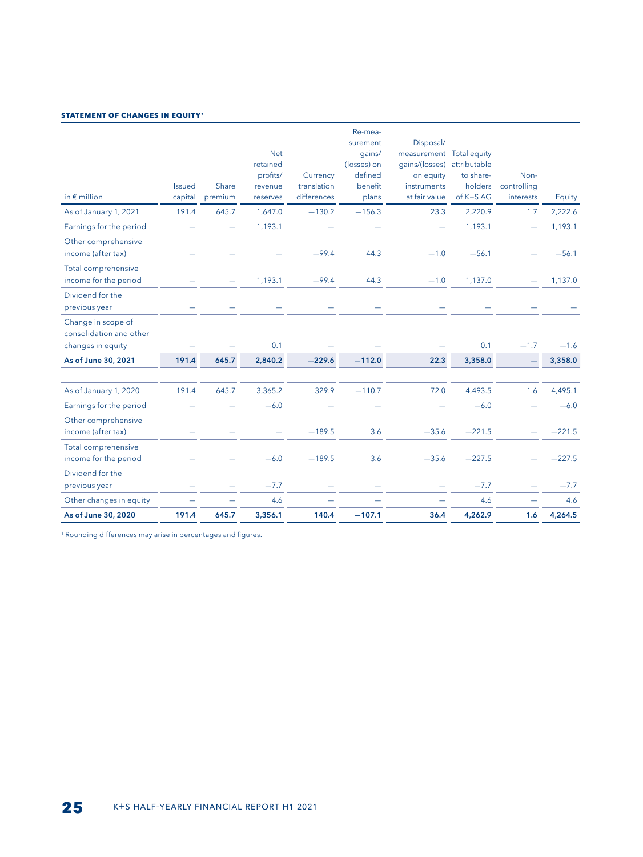#### **STATEMENT OF CHANGES IN EQUITY<sup>1</sup>**

| in $\epsilon$ million                                              | <b>Issued</b><br>capital | Share<br>premium         | <b>Net</b><br>retained<br>profits/<br>revenue<br>reserves | Currency<br>translation<br>differences | Re-mea-<br>surement<br>qains/<br>(losses) on<br>defined<br>benefit<br>plans | Disposal/<br>measurement Total equity<br>gains/(losses) attributable<br>on equity<br>instruments<br>at fair value | to share-<br>holders<br>of K+S AG | Non-<br>controlling<br>interests | Equity   |
|--------------------------------------------------------------------|--------------------------|--------------------------|-----------------------------------------------------------|----------------------------------------|-----------------------------------------------------------------------------|-------------------------------------------------------------------------------------------------------------------|-----------------------------------|----------------------------------|----------|
| As of January 1, 2021                                              | 191.4                    | 645.7                    | 1,647.0                                                   | $-130.2$                               | $-156.3$                                                                    | 23.3                                                                                                              | 2,220.9                           | 1.7                              | 2,222.6  |
| Earnings for the period                                            |                          | $\overline{\phantom{0}}$ | 1,193.1                                                   |                                        |                                                                             | $\overline{\phantom{0}}$                                                                                          | 1,193.1                           | $\overline{\phantom{0}}$         | 1,193.1  |
| Other comprehensive<br>income (after tax)                          |                          |                          |                                                           | $-99.4$                                | 44.3                                                                        | $-1.0$                                                                                                            | $-56.1$                           |                                  | $-56.1$  |
| Total comprehensive<br>income for the period                       |                          |                          | 1,193.1                                                   | $-99.4$                                | 44.3                                                                        | $-1.0$                                                                                                            | 1,137.0                           |                                  | 1,137.0  |
| Dividend for the<br>previous year                                  |                          |                          |                                                           |                                        |                                                                             |                                                                                                                   |                                   |                                  |          |
| Change in scope of<br>consolidation and other<br>changes in equity |                          |                          | 0.1                                                       |                                        |                                                                             |                                                                                                                   | 0.1                               | $-1.7$                           | $-1.6$   |
| As of June 30, 2021                                                | 191.4                    | 645.7                    | 2,840.2                                                   | $-229.6$                               | $-112.0$                                                                    | 22.3                                                                                                              | 3,358.0                           |                                  | 3,358.0  |
|                                                                    |                          |                          |                                                           |                                        |                                                                             |                                                                                                                   |                                   |                                  |          |
| As of January 1, 2020                                              | 191.4                    | 645.7                    | 3,365.2                                                   | 329.9                                  | $-110.7$                                                                    | 72.0                                                                                                              | 4,493.5                           | 1.6                              | 4,495.1  |
| Earnings for the period                                            |                          |                          | $-6.0$                                                    |                                        |                                                                             |                                                                                                                   | $-6.0$                            |                                  | $-6.0$   |
| Other comprehensive<br>income (after tax)                          |                          |                          |                                                           | $-189.5$                               | 3.6                                                                         | $-35.6$                                                                                                           | $-221.5$                          |                                  | $-221.5$ |
| Total comprehensive<br>income for the period                       |                          |                          | $-6.0$                                                    | $-189.5$                               | 3.6                                                                         | $-35.6$                                                                                                           | $-227.5$                          |                                  | $-227.5$ |
| Dividend for the<br>previous year                                  |                          |                          | $-7.7$                                                    |                                        |                                                                             |                                                                                                                   | $-7.7$                            |                                  | $-7.7$   |
| Other changes in equity                                            |                          |                          | 4.6                                                       |                                        |                                                                             |                                                                                                                   | 4.6                               | -                                | 4.6      |
| As of June 30, 2020                                                | 191.4                    | 645.7                    | 3,356.1                                                   | 140.4                                  | $-107.1$                                                                    | 36.4                                                                                                              | 4,262.9                           | 1.6                              | 4,264.5  |

<sup>1</sup> Rounding differences may arise in percentages and figures.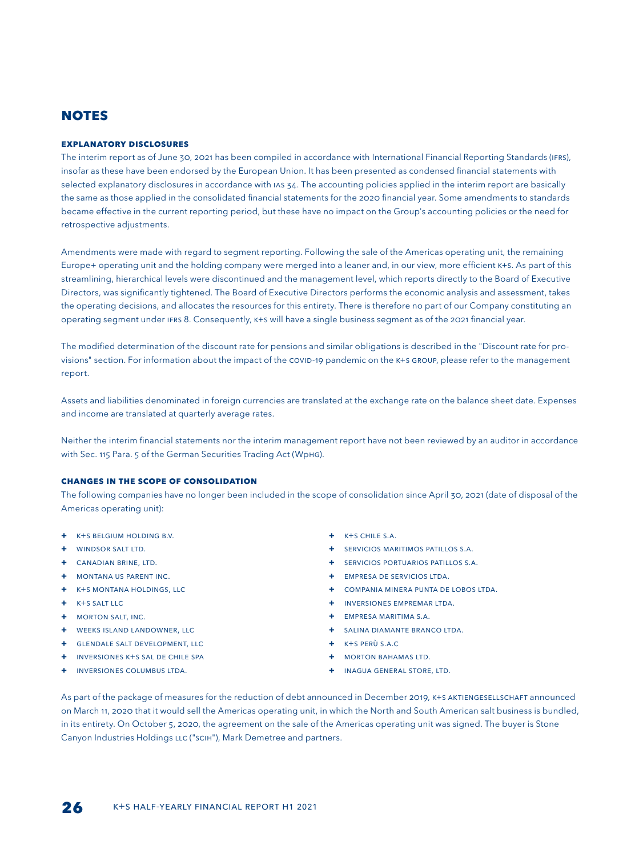## **NOTES**

#### **EXPLANATORY DISCLOSURES**

The interim report as of June 30, 2021 has been compiled in accordance with International Financial Reporting Standards (IFRS), insofar as these have been endorsed by the European Union. It has been presented as condensed financial statements with selected explanatory disclosures in accordance with IAS 34. The accounting policies applied in the interim report are basically the same as those applied in the consolidated financial statements for the 2020 financial year. Some amendments to standards became effective in the current reporting period, but these have no impact on the Group's accounting policies or the need for retrospective adjustments.

Amendments were made with regard to segment reporting. Following the sale of the Americas operating unit, the remaining Europe+ operating unit and the holding company were merged into a leaner and, in our view, more efficient K+S. As part of this streamlining, hierarchical levels were discontinued and the management level, which reports directly to the Board of Executive Directors, was significantly tightened. The Board of Executive Directors performs the economic analysis and assessment, takes the operating decisions, and allocates the resources for this entirety. There is therefore no part of our Company constituting an operating segment under IFRS 8. Consequently, K+S will have a single business segment as of the 2021 financial year.

The modified determination of the discount rate for pensions and similar obligations is described in the "Discount rate for provisions" section. For information about the impact of the COVID-19 pandemic on the K+S Group, please refer to the management report.

Assets and liabilities denominated in foreign currencies are translated at the exchange rate on the balance sheet date. Expenses and income are translated at quarterly average rates.

Neither the interim financial statements nor the interim management report have not been reviewed by an auditor in accordance with Sec. 115 Para. 5 of the German Securities Trading Act (WpHG).

#### **CHANGES IN THE SCOPE OF CONSOLIDATION**

The following companies have no longer been included in the scope of consolidation since April 30, 2021 (date of disposal of the Americas operating unit):

- **+** K+S Belgium Holding B.V.
- **+** Windsor Salt Ltd.
- **+** Canadian Brine, Ltd.
- **+** Montana US Parent Inc.
- **+** K+S Montana Holdings, LLC
- **+** K+S Salt LLC
- **+** Morton Salt, Inc.
- **+** Weeks Island Landowner, LLC
- **+** Glendale Salt Development, LLC
- **+** Inversiones K+S Sal de Chile SpA
- **+** Inversiones Columbus Ltda.
- **+** K+S Chile S.A.
- **+** Servicios Maritimos Patillos S.A.
- **+** Servicios Portuarios Patillos S.A.
- **+** Empresa de Servicios Ltda.
- **+** Compania Minera Punta de Lobos Ltda.
- **+** Inversiones Empremar Ltda.
- **+** Empresa Maritima S.A.
- **+** Salina Diamante Branco Ltda.
- **+** K+S Perù S.A.C
- **+** Morton Bahamas Ltd.
- **+** Inagua General Store, Ltd.

As part of the package of measures for the reduction of debt announced in December 2019, K+S AKTIENGESELLSCHAFT announced on March 11, 2020 that it would sell the Americas operating unit, in which the North and South American salt business is bundled, in its entirety. On October 5, 2020, the agreement on the sale of the Americas operating unit was signed. The buyer is Stone Canyon Industries Holdings LLC ("SCIH"), Mark Demetree and partners.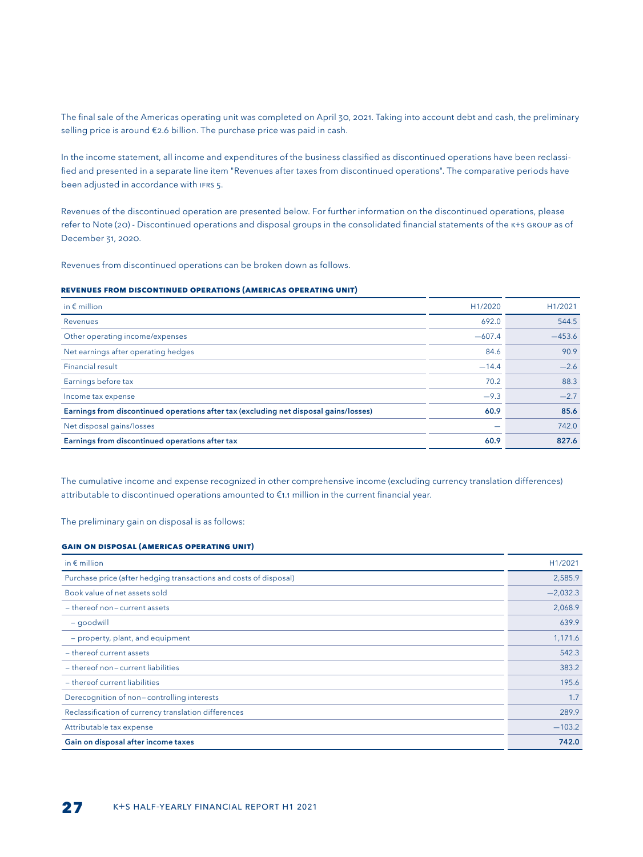The final sale of the Americas operating unit was completed on April 30, 2021. Taking into account debt and cash, the preliminary selling price is around €2.6 billion. The purchase price was paid in cash.

In the income statement, all income and expenditures of the business classified as discontinued operations have been reclassified and presented in a separate line item "Revenues after taxes from discontinued operations". The comparative periods have been adjusted in accordance with IFRS 5.

Revenues of the discontinued operation are presented below. For further information on the discontinued operations, please refer to Note (20) - Discontinued operations and disposal groups in the consolidated financial statements of the K+S Group as of December 31, 2020.

Revenues from discontinued operations can be broken down as follows.

#### **Revenues from discontinued operations (Americas operating unit)**

| in $\epsilon$ million                                                                 | H1/2020  | H1/2021  |
|---------------------------------------------------------------------------------------|----------|----------|
| Revenues                                                                              | 692.0    | 544.5    |
| Other operating income/expenses                                                       | $-607.4$ | $-453.6$ |
| Net earnings after operating hedges                                                   | 84.6     | 90.9     |
| <b>Financial result</b>                                                               | $-14.4$  | $-2.6$   |
| Earnings before tax                                                                   | 70.2     | 88.3     |
| Income tax expense                                                                    | $-9.3$   | $-2.7$   |
| Earnings from discontinued operations after tax (excluding net disposal gains/losses) | 60.9     | 85.6     |
| Net disposal gains/losses                                                             |          | 742.0    |
| Earnings from discontinued operations after tax                                       | 60.9     | 827.6    |

The cumulative income and expense recognized in other comprehensive income (excluding currency translation differences) attributable to discontinued operations amounted to €1.1 million in the current financial year.

The preliminary gain on disposal is as follows:

#### **Gain on disposal (Americas operating unit)**

| in $\epsilon$ million                                             | H1/2021    |
|-------------------------------------------------------------------|------------|
| Purchase price (after hedging transactions and costs of disposal) | 2,585.9    |
| Book value of net assets sold                                     | $-2,032.3$ |
| - thereof non-current assets                                      | 2,068.9    |
| - goodwill                                                        | 639.9      |
| - property, plant, and equipment                                  | 1,171.6    |
| - thereof current assets                                          | 542.3      |
| - thereof non-current liabilities                                 | 383.2      |
| - thereof current liabilities                                     | 195.6      |
| Derecognition of non-controlling interests                        | 1.7        |
| Reclassification of currency translation differences              | 289.9      |
| Attributable tax expense                                          | $-103.2$   |
| Gain on disposal after income taxes                               | 742.0      |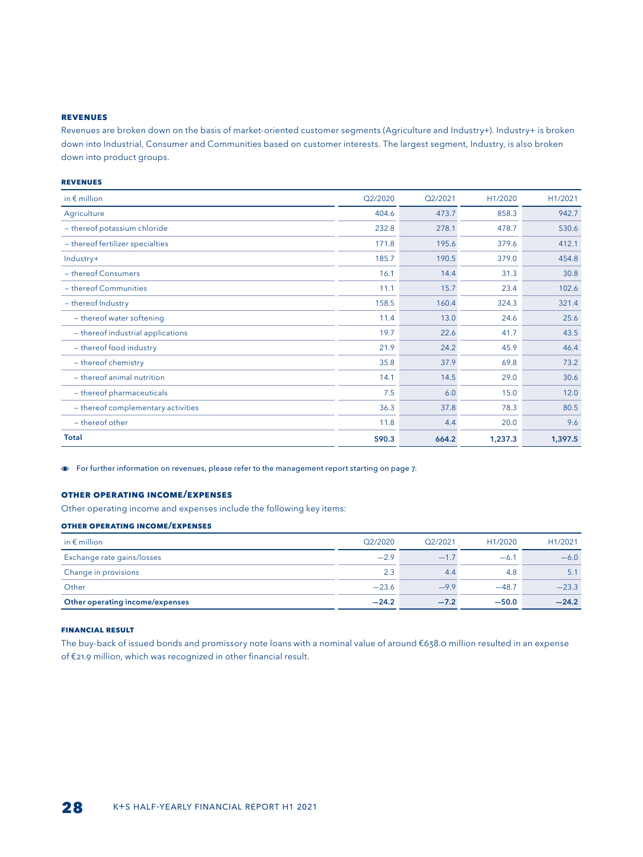#### **REVENUES**

Revenues are broken down on the basis of market-oriented customer segments (Agriculture and Industry+). Industry+ is broken down into Industrial, Consumer and Communities based on customer interests. The largest segment, Industry, is also broken down into product groups.

#### **REVENUES**

| in $\epsilon$ million              | Q2/2020 | Q2/2021 | H1/2020 | H1/2021 |
|------------------------------------|---------|---------|---------|---------|
| Agriculture                        | 404.6   | 473.7   | 858.3   | 942.7   |
| - thereof potassium chloride       | 232.8   | 278.1   | 478.7   | 530.6   |
| - thereof fertilizer specialties   | 171.8   | 195.6   | 379.6   | 412.1   |
| Industry+                          | 185.7   | 190.5   | 379.0   | 454.8   |
| - thereof Consumers                | 16.1    | 14.4    | 31.3    | 30.8    |
| - thereof Communities              | 11.1    | 15.7    | 23.4    | 102.6   |
| - thereof Industry                 | 158.5   | 160.4   | 324.3   | 321.4   |
| - thereof water softening          | 11.4    | 13.0    | 24.6    | 25.6    |
| - thereof industrial applications  | 19.7    | 22.6    | 41.7    | 43.5    |
| - thereof food industry            | 21.9    | 24.2    | 45.9    | 46.4    |
| - thereof chemistry                | 35.8    | 37.9    | 69.8    | 73.2    |
| - thereof animal nutrition         | 14.1    | 14.5    | 29.0    | 30.6    |
| - thereof pharmaceuticals          | 7.5     | 6.0     | 15.0    | 12.0    |
| - thereof complementary activities | 36.3    | 37.8    | 78.3    | 80.5    |
| - thereof other                    | 11.8    | 4.4     | 20.0    | 9.6     |
| <b>Total</b>                       | 590.3   | 664.2   | 1,237.3 | 1,397.5 |

For further information on revenues, please refer to the management report starting on page 7.

#### **OTHER OPERATING INCOME/EXPENSES**

Other operating income and expenses include the following key items:

#### **Other operating income/expenses**

| in $\epsilon$ million           | Q2/2020 | O <sub>2</sub> /2021 | H <sub>1</sub> /2020 | H <sub>1</sub> /2021 |
|---------------------------------|---------|----------------------|----------------------|----------------------|
| Exchange rate gains/losses      | $-2.9$  | $-1.7$               | $-6.1$               | $-6.0$               |
| Change in provisions            | 2.3     | 4.4                  | 4.8                  | 5.1                  |
| Other                           | $-23.6$ | $-9.9$               | $-48.7$              | $-23.3$              |
| Other operating income/expenses | $-24.2$ | $-7.2$               | $-50.0$              | $-24.2$              |

#### **FINANCIAL RESULT**

The buy-back of issued bonds and promissory note loans with a nominal value of around €638.0 million resulted in an expense of €21.9 million, which was recognized in other financial result.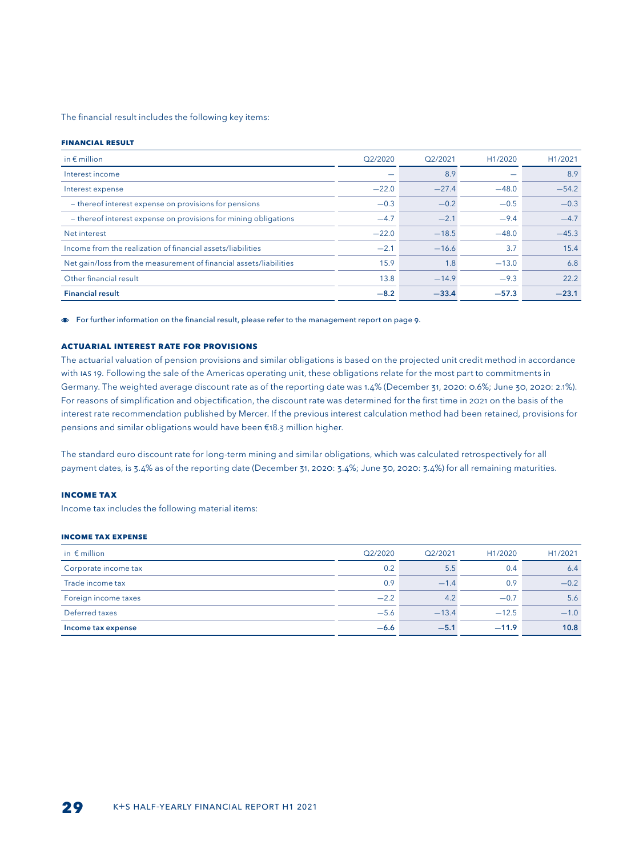The financial result includes the following key items:

#### **Financial result**

| in $\epsilon$ million                                              | Q2/2020 | O <sub>2</sub> /2021 | H1/2020 | H1/2021 |
|--------------------------------------------------------------------|---------|----------------------|---------|---------|
| Interest income                                                    |         | 8.9                  |         | 8.9     |
| Interest expense                                                   | $-22.0$ | $-27.4$              | $-48.0$ | $-54.2$ |
| - thereof interest expense on provisions for pensions              | $-0.3$  | $-0.2$               | $-0.5$  | $-0.3$  |
| - thereof interest expense on provisions for mining obligations    | $-4.7$  | $-2.1$               | $-9.4$  | $-4.7$  |
| Net interest                                                       | $-22.0$ | $-18.5$              | $-48.0$ | $-45.3$ |
| Income from the realization of financial assets/liabilities        | $-2.1$  | $-16.6$              | 3.7     | 15.4    |
| Net gain/loss from the measurement of financial assets/liabilities | 15.9    | 1.8                  | $-13.0$ | 6.8     |
| Other financial result                                             | 13.8    | $-14.9$              | $-9.3$  | 22.2    |
| <b>Financial result</b>                                            | $-8.2$  | $-33.4$              | $-57.3$ | $-23.1$ |

For further information on the financial result, please refer to the management report on page 9.

#### **ACTUARIAL INTEREST RATE FOR PROVISIONS**

The actuarial valuation of pension provisions and similar obligations is based on the projected unit credit method in accordance with IAS 19. Following the sale of the Americas operating unit, these obligations relate for the most part to commitments in Germany. The weighted average discount rate as of the reporting date was 1.4% (December 31, 2020: 0.6%; June 30, 2020: 2.1%). For reasons of simplification and objectification, the discount rate was determined for the first time in 2021 on the basis of the interest rate recommendation published by Mercer. If the previous interest calculation method had been retained, provisions for pensions and similar obligations would have been €18.3 million higher.

The standard euro discount rate for long-term mining and similar obligations, which was calculated retrospectively for all payment dates, is 3.4% as of the reporting date (December 31, 2020: 3.4%; June 30, 2020: 3.4%) for all remaining maturities.

#### **INCOME TAX**

Income tax includes the following material items:

#### **Income tax Expense**

| in $\epsilon$ million | Q2/2020 | Q2/2021 | H1/2020 | H1/2021 |
|-----------------------|---------|---------|---------|---------|
| Corporate income tax  | 0.2     | 5.5     | 0.4     | 6.4     |
| Trade income tax      | 0.9     | $-1.4$  | 0.9     | $-0.2$  |
| Foreign income taxes  | $-2.2$  | 4.2     | $-0.7$  | 5.6     |
| Deferred taxes        | $-5.6$  | $-13.4$ | $-12.5$ | $-1.0$  |
| Income tax expense    | $-6.6$  | $-5.1$  | $-11.9$ | 10.8    |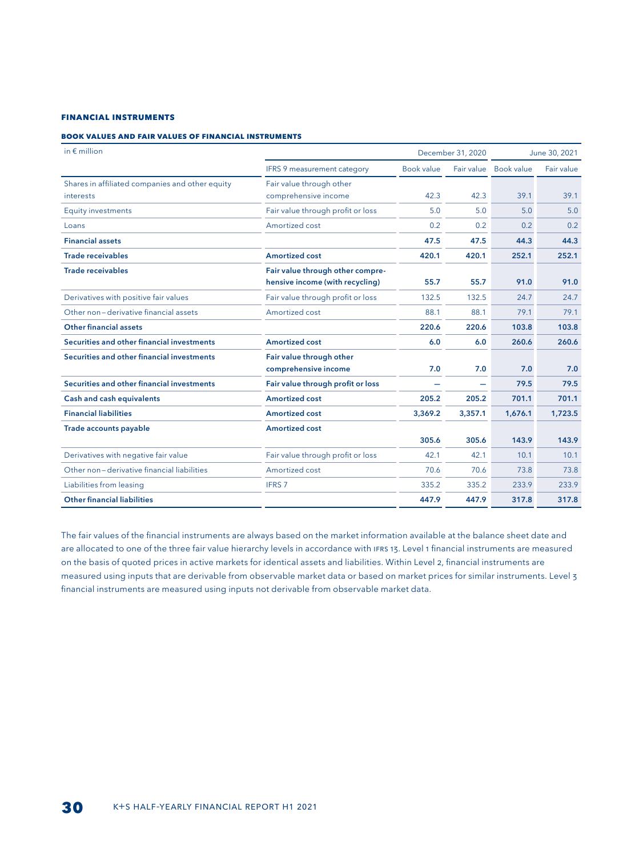#### **FINANCIAL INSTRUMENTS**

#### **Book values and fair values of financial instruments**

| in $\epsilon$ million                           |                                   |                   | December 31, 2020        |                   | June 30, 2021 |
|-------------------------------------------------|-----------------------------------|-------------------|--------------------------|-------------------|---------------|
|                                                 | IFRS 9 measurement category       | <b>Book value</b> | Fair value               | <b>Book value</b> | Fair value    |
| Shares in affiliated companies and other equity | Fair value through other          |                   |                          |                   |               |
| interests                                       | comprehensive income              | 42.3              | 42.3                     | 39.1              | 39.1          |
| <b>Equity investments</b>                       | Fair value through profit or loss | 5.0               | 5.0                      | 5.0               | 5.0           |
| Loans                                           | Amortized cost                    | 0.2               | 0.2                      | 0.2               | 0.2           |
| <b>Financial assets</b>                         |                                   | 47.5              | 47.5                     | 44.3              | 44.3          |
| <b>Trade receivables</b>                        | <b>Amortized cost</b>             | 420.1             | 420.1                    | 252.1             | 252.1         |
| <b>Trade receivables</b>                        | Fair value through other compre-  |                   |                          |                   |               |
|                                                 | hensive income (with recycling)   | 55.7              | 55.7                     | 91.0              | 91.0          |
| Derivatives with positive fair values           | Fair value through profit or loss | 132.5             | 132.5                    | 24.7              | 24.7          |
| Other non-derivative financial assets           | Amortized cost                    | 88.1              | 88.1                     | 79.1              | 79.1          |
| <b>Other financial assets</b>                   |                                   | 220.6             | 220.6                    | 103.8             | 103.8         |
| Securities and other financial investments      | <b>Amortized cost</b>             | 6.0               | 6.0                      | 260.6             | 260.6         |
| Securities and other financial investments      | Fair value through other          |                   |                          |                   |               |
|                                                 | comprehensive income              | 7.0               | 7.0                      | 7.0               | 7.0           |
| Securities and other financial investments      | Fair value through profit or loss |                   | $\overline{\phantom{0}}$ | 79.5              | 79.5          |
| <b>Cash and cash equivalents</b>                | <b>Amortized cost</b>             | 205.2             | 205.2                    | 701.1             | 701.1         |
| <b>Financial liabilities</b>                    | <b>Amortized cost</b>             | 3,369.2           | 3,357.1                  | 1,676.1           | 1,723.5       |
| Trade accounts payable                          | <b>Amortized cost</b>             |                   |                          |                   |               |
|                                                 |                                   | 305.6             | 305.6                    | 143.9             | 143.9         |
| Derivatives with negative fair value            | Fair value through profit or loss | 42.1              | 42.1                     | 10.1              | 10.1          |
| Other non-derivative financial liabilities      | Amortized cost                    | 70.6              | 70.6                     | 73.8              | 73.8          |
| Liabilities from leasing                        | <b>IFRS 7</b>                     | 335.2             | 335.2                    | 233.9             | 233.9         |
| <b>Other financial liabilities</b>              |                                   | 447.9             | 447.9                    | 317.8             | 317.8         |

The fair values of the financial instruments are always based on the market information available at the balance sheet date and are allocated to one of the three fair value hierarchy levels in accordance with IFRS 13. Level 1 financial instruments are measured on the basis of quoted prices in active markets for identical assets and liabilities. Within Level 2, financial instruments are measured using inputs that are derivable from observable market data or based on market prices for similar instruments. Level 3 financial instruments are measured using inputs not derivable from observable market data.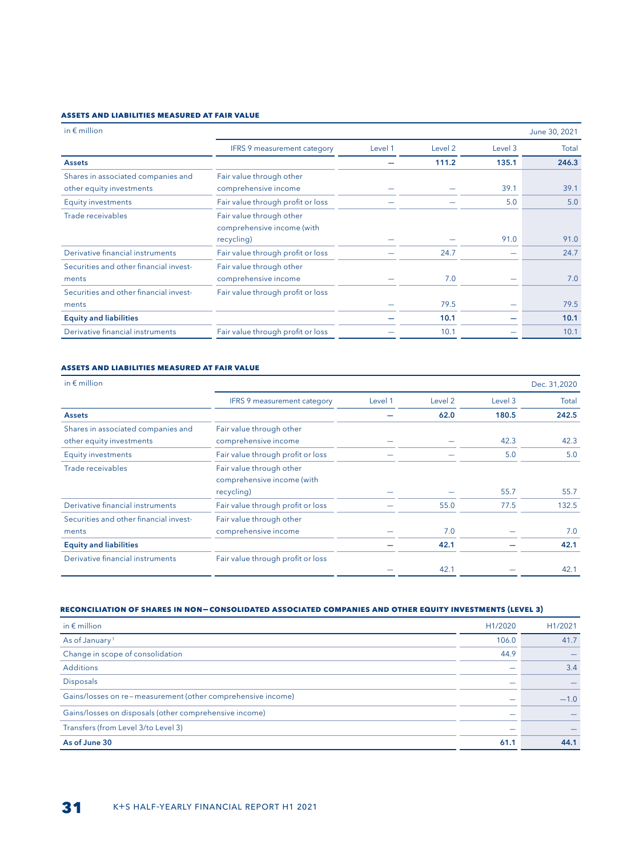### **Assets and liabilities measured at fair value**

| in $\epsilon$ million                                          |                                                                      |         |                    |         | June 30, 2021 |
|----------------------------------------------------------------|----------------------------------------------------------------------|---------|--------------------|---------|---------------|
|                                                                | <b>IFRS 9 measurement category</b>                                   | Level 1 | Level <sub>2</sub> | Level 3 | Total         |
| <b>Assets</b>                                                  |                                                                      |         | 111.2              | 135.1   | 246.3         |
| Shares in associated companies and<br>other equity investments | Fair value through other<br>comprehensive income                     |         |                    | 39.1    | 39.1          |
| <b>Equity investments</b>                                      | Fair value through profit or loss                                    |         |                    | 5.0     | 5.0           |
| Trade receivables                                              | Fair value through other<br>comprehensive income (with<br>recycling) |         |                    | 91.0    | 91.0          |
| Derivative financial instruments                               | Fair value through profit or loss                                    |         | 24.7               |         | 24.7          |
| Securities and other financial invest-<br>ments                | Fair value through other<br>comprehensive income                     |         | 7.0                |         | 7.0           |
| Securities and other financial invest-<br>ments                | Fair value through profit or loss                                    |         | 79.5               |         | 79.5          |
| <b>Equity and liabilities</b>                                  |                                                                      |         | 10.1               |         | 10.1          |
| Derivative financial instruments                               | Fair value through profit or loss                                    |         | 10.1               |         | 10.1          |

#### **Assets and liabilities measured at fair value**

| in $\epsilon$ million                  |                                                        |         |                    |         | Dec. 31,2020 |
|----------------------------------------|--------------------------------------------------------|---------|--------------------|---------|--------------|
|                                        | <b>IFRS 9 measurement category</b>                     | Level 1 | Level <sub>2</sub> | Level 3 | Total        |
| <b>Assets</b>                          |                                                        |         | 62.0               | 180.5   | 242.5        |
| Shares in associated companies and     | Fair value through other                               |         |                    |         |              |
| other equity investments               | comprehensive income                                   |         |                    | 42.3    | 42.3         |
| <b>Equity investments</b>              | Fair value through profit or loss                      |         |                    | 5.0     | 5.0          |
| Trade receivables                      | Fair value through other<br>comprehensive income (with |         |                    |         |              |
|                                        | recycling)                                             |         |                    | 55.7    | 55.7         |
| Derivative financial instruments       | Fair value through profit or loss                      |         | 55.0               | 77.5    | 132.5        |
| Securities and other financial invest- | Fair value through other                               |         |                    |         |              |
| ments                                  | comprehensive income                                   |         | 7.0                |         | 7.0          |
| <b>Equity and liabilities</b>          |                                                        |         | 42.1               |         | 42.1         |
| Derivative financial instruments       | Fair value through profit or loss                      |         |                    |         |              |
|                                        |                                                        |         | 42.1               |         | 42.1         |

#### **Reconciliation of shares in non-consolidated associated companies and other equity investments (Level 3)**

| in $\epsilon$ million                                       | H1/2020 | H1/2021 |
|-------------------------------------------------------------|---------|---------|
| As of January <sup>1</sup>                                  | 106.0   | 41.7    |
| Change in scope of consolidation                            | 44.9    |         |
| <b>Additions</b>                                            |         | 3.4     |
| <b>Disposals</b>                                            |         |         |
| Gains/losses on re-measurement (other comprehensive income) |         | $-1.0$  |
| Gains/losses on disposals (other comprehensive income)      |         |         |
| Transfers (from Level 3/to Level 3)                         |         |         |
| As of June 30                                               | 61.1    | 44.1    |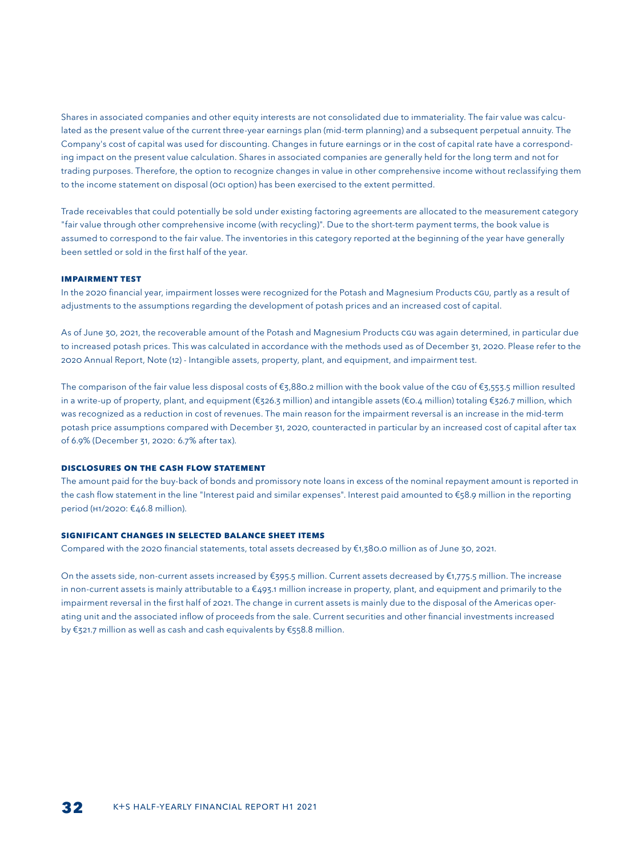Shares in associated companies and other equity interests are not consolidated due to immateriality. The fair value was calculated as the present value of the current three-year earnings plan (mid-term planning) and a subsequent perpetual annuity. The Company's cost of capital was used for discounting. Changes in future earnings or in the cost of capital rate have a corresponding impact on the present value calculation. Shares in associated companies are generally held for the long term and not for trading purposes. Therefore, the option to recognize changes in value in other comprehensive income without reclassifying them to the income statement on disposal (OCI option) has been exercised to the extent permitted.

Trade receivables that could potentially be sold under existing factoring agreements are allocated to the measurement category "fair value through other comprehensive income (with recycling)". Due to the short-term payment terms, the book value is assumed to correspond to the fair value. The inventories in this category reported at the beginning of the year have generally been settled or sold in the first half of the year.

#### **Impairment test**

In the 2020 financial year, impairment losses were recognized for the Potash and Magnesium Products CGU, partly as a result of adjustments to the assumptions regarding the development of potash prices and an increased cost of capital.

As of June 30, 2021, the recoverable amount of the Potash and Magnesium Products CGU was again determined, in particular due to increased potash prices. This was calculated in accordance with the methods used as of December 31, 2020. Please refer to the 2020 Annual Report, Note (12) - Intangible assets, property, plant, and equipment, and impairment test.

The comparison of the fair value less disposal costs of  $\epsilon_5$ ,880.2 million with the book value of the cGU of  $\epsilon_5$ ,553.5 million resulted in a write-up of property, plant, and equipment (€326.3 million) and intangible assets (€0.4 million) totaling €326.7 million, which was recognized as a reduction in cost of revenues. The main reason for the impairment reversal is an increase in the mid-term potash price assumptions compared with December 31, 2020, counteracted in particular by an increased cost of capital after tax of 6.9% (December 31, 2020: 6.7% after tax).

#### **Disclosures on the cash flow statement**

The amount paid for the buy-back of bonds and promissory note loans in excess of the nominal repayment amount is reported in the cash flow statement in the line "Interest paid and similar expenses". Interest paid amounted to €58.9 million in the reporting period (H1/2020: €46.8 million).

#### **SIGNIFICANT CHANGES IN SELECTED BALANCE SHEET ITEMS**

Compared with the 2020 financial statements, total assets decreased by €1,380.0 million as of June 30, 2021.

On the assets side, non-current assets increased by €395.5 million. Current assets decreased by €1,775.5 million. The increase in non-current assets is mainly attributable to a €493.1 million increase in property, plant, and equipment and primarily to the impairment reversal in the first half of 2021. The change in current assets is mainly due to the disposal of the Americas operating unit and the associated inflow of proceeds from the sale. Current securities and other financial investments increased by €321.7 million as well as cash and cash equivalents by €558.8 million.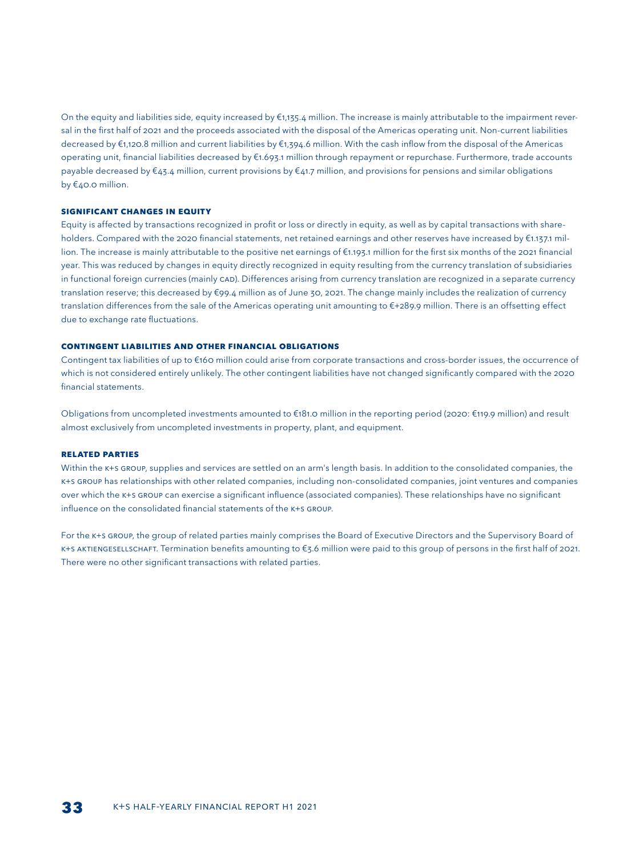On the equity and liabilities side, equity increased by €1,135.4 million. The increase is mainly attributable to the impairment reversal in the first half of 2021 and the proceeds associated with the disposal of the Americas operating unit. Non-current liabilities decreased by €1,120.8 million and current liabilities by €1,394.6 million. With the cash inflow from the disposal of the Americas operating unit, financial liabilities decreased by €1.693.1 million through repayment or repurchase. Furthermore, trade accounts payable decreased by €43.4 million, current provisions by €41.7 million, and provisions for pensions and similar obligations by €40.0 million.

#### **SIGNIFICANT CHANGES IN EQUITY**

Equity is affected by transactions recognized in profit or loss or directly in equity, as well as by capital transactions with shareholders. Compared with the 2020 financial statements, net retained earnings and other reserves have increased by €1.137.1 million. The increase is mainly attributable to the positive net earnings of €1.193.1 million for the first six months of the 2021 financial year. This was reduced by changes in equity directly recognized in equity resulting from the currency translation of subsidiaries in functional foreign currencies (mainly CAD). Differences arising from currency translation are recognized in a separate currency translation reserve; this decreased by €99.4 million as of June 30, 2021. The change mainly includes the realization of currency translation differences from the sale of the Americas operating unit amounting to €+289.9 million. There is an offsetting effect due to exchange rate fluctuations.

#### **CONTINGENT LIABILITIES AND OTHER FINANCIAL OBLIGATIONS**

Contingent tax liabilities of up to €160 million could arise from corporate transactions and cross-border issues, the occurrence of which is not considered entirely unlikely. The other contingent liabilities have not changed significantly compared with the 2020 financial statements.

Obligations from uncompleted investments amounted to €181.0 million in the reporting period (2020: €119.9 million) and result almost exclusively from uncompleted investments in property, plant, and equipment.

#### **RELATED PARTIES**

Within the K+s GROUP, supplies and services are settled on an arm's length basis. In addition to the consolidated companies, the K+S GROUP has relationships with other related companies, including non-consolidated companies, joint ventures and companies over which the K+S GROUP can exercise a significant influence (associated companies). These relationships have no significant influence on the consolidated financial statements of the K+S GROUP.

For the K+S GROUP, the group of related parties mainly comprises the Board of Executive Directors and the Supervisory Board of K+S AKTIENGESELLSCHAFT. Termination benefits amounting to €3.6 million were paid to this group of persons in the first half of 2021. There were no other significant transactions with related parties.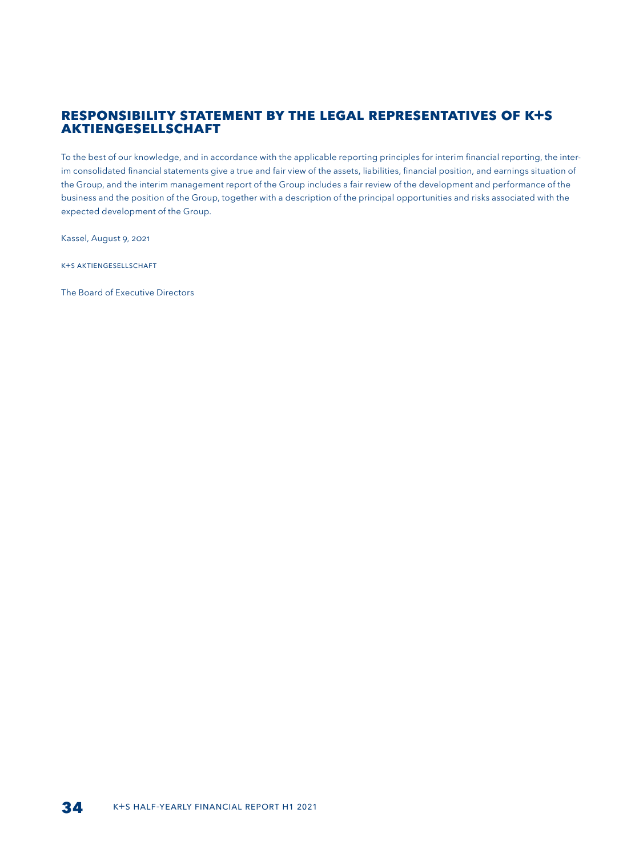## **RESPONSIBILITY STATEMENT BY THE LEGAL REPRESENTATIVES OF K+S AKTIENGESELLSCHAFT**

To the best of our knowledge, and in accordance with the applicable reporting principles for interim financial reporting, the interim consolidated financial statements give a true and fair view of the assets, liabilities, financial position, and earnings situation of the Group, and the interim management report of the Group includes a fair review of the development and performance of the business and the position of the Group, together with a description of the principal opportunities and risks associated with the expected development of the Group.

Kassel, August 9, 2021

K+S Aktiengesellschaft

The Board of Executive Directors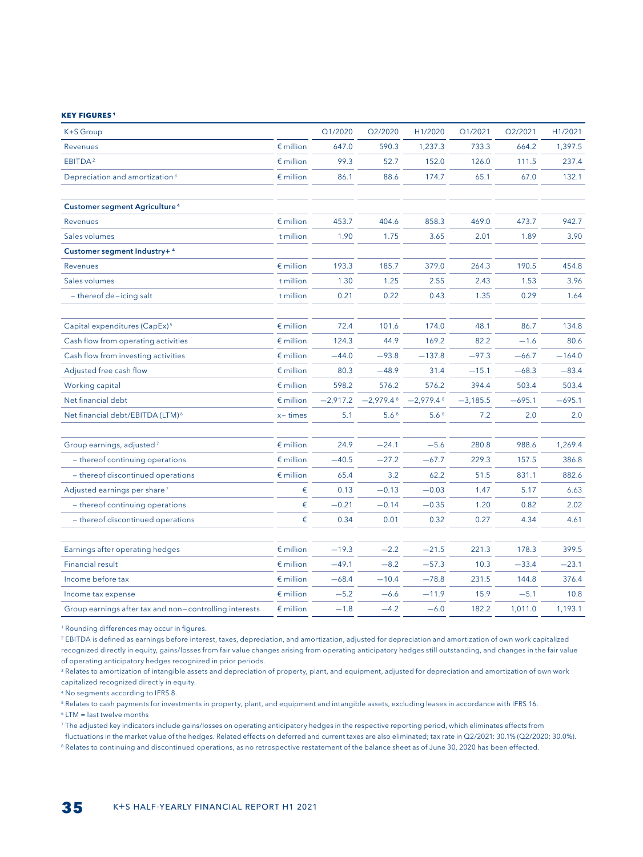#### **Key figures 1**

| K+S Group                                              |                    | Q1/2020    | Q2/2020          | H1/2020                 | Q1/2021    | Q2/2021  | H1/2021  |
|--------------------------------------------------------|--------------------|------------|------------------|-------------------------|------------|----------|----------|
| Revenues                                               | $\epsilon$ million | 647.0      | 590.3            | 1,237.3                 | 733.3      | 664.2    | 1,397.5  |
| EBITDA <sup>2</sup>                                    | $\epsilon$ million | 99.3       | 52.7             | 152.0                   | 126.0      | 111.5    | 237.4    |
| Depreciation and amortization <sup>3</sup>             | $\epsilon$ million | 86.1       | 88.6             | 174.7                   | 65.1       | 67.0     | 132.1    |
|                                                        |                    |            |                  |                         |            |          |          |
| <b>Customer segment Agriculture<sup>4</sup></b>        |                    |            |                  |                         |            |          |          |
| Revenues                                               | $\epsilon$ million | 453.7      | 404.6            | 858.3                   | 469.0      | 473.7    | 942.7    |
| Sales volumes                                          | t million          | 1.90       | 1.75             | 3.65                    | 2.01       | 1.89     | 3.90     |
| Customer segment Industry+ 4                           |                    |            |                  |                         |            |          |          |
| <b>Revenues</b>                                        | $\epsilon$ million | 193.3      | 185.7            | 379.0                   | 264.3      | 190.5    | 454.8    |
| Sales volumes                                          | t million          | 1.30       | 1.25             | 2.55                    | 2.43       | 1.53     | 3.96     |
| $-$ thereof de-icing salt                              | t million          | 0.21       | 0.22             | 0.43                    | 1.35       | 0.29     | 1.64     |
|                                                        |                    |            |                  |                         |            |          |          |
| Capital expenditures (CapEx) <sup>5</sup>              | $\epsilon$ million | 72.4       | 101.6            | 174.0                   | 48.1       | 86.7     | 134.8    |
| Cash flow from operating activities                    | $\epsilon$ million | 124.3      | 44.9             | 169.2                   | 82.2       | $-1.6$   | 80.6     |
| Cash flow from investing activities                    | $\epsilon$ million | $-44.0$    | $-93.8$          | $-137.8$                | $-97.3$    | $-66.7$  | $-164.0$ |
| Adjusted free cash flow                                | $\epsilon$ million | 80.3       | $-48.9$          | 31.4                    | $-15.1$    | $-68.3$  | $-83.4$  |
| Working capital                                        | $\epsilon$ million | 598.2      | 576.2            | 576.2                   | 394.4      | 503.4    | 503.4    |
| Net financial debt                                     | $\epsilon$ million | $-2,917.2$ | $-2,979.48$      | $-2,979.4$ <sup>8</sup> | $-3,185.5$ | $-695.1$ | $-695.1$ |
| Net financial debt/EBITDA (LTM) <sup>6</sup>           | $x - times$        | 5.1        | 5.6 <sup>8</sup> | 5.6 <sup>8</sup>        | 7.2        | 2.0      | 2.0      |
|                                                        |                    |            |                  |                         |            |          |          |
| Group earnings, adjusted <sup>7</sup>                  | $\epsilon$ million | 24.9       | $-24.1$          | $-5.6$                  | 280.8      | 988.6    | 1,269.4  |
| - thereof continuing operations                        | $\epsilon$ million | $-40.5$    | $-27.2$          | $-67.7$                 | 229.3      | 157.5    | 386.8    |
| - thereof discontinued operations                      | $\epsilon$ million | 65.4       | 3.2              | 62.2                    | 51.5       | 831.1    | 882.6    |
| Adjusted earnings per share <sup>7</sup>               | €                  | 0.13       | $-0.13$          | $-0.03$                 | 1.47       | 5.17     | 6.63     |
| - thereof continuing operations                        | €                  | $-0.21$    | $-0.14$          | $-0.35$                 | 1.20       | 0.82     | 2.02     |
| - thereof discontinued operations                      | €                  | 0.34       | 0.01             | 0.32                    | 0.27       | 4.34     | 4.61     |
|                                                        |                    |            |                  |                         |            |          |          |
| Earnings after operating hedges                        | $\epsilon$ million | $-19.3$    | $-2.2$           | $-21.5$                 | 221.3      | 178.3    | 399.5    |
| <b>Financial result</b>                                | $\epsilon$ million | $-49.1$    | $-8.2$           | $-57.3$                 | 10.3       | $-33.4$  | $-23.1$  |
| Income before tax                                      | $\epsilon$ million | $-68.4$    | $-10.4$          | $-78.8$                 | 231.5      | 144.8    | 376.4    |
| Income tax expense                                     | $\epsilon$ million | $-5.2$     | $-6.6$           | $-11.9$                 | 15.9       | $-5.1$   | 10.8     |
| Group earnings after tax and non-controlling interests | $\epsilon$ million | $-1.8$     | $-4.2$           | $-6.0$                  | 182.2      | 1,011.0  | 1,193.1  |

<sup>1</sup> Rounding differences may occur in figures.

<sup>2</sup> EBITDA is defined as earnings before interest, taxes, depreciation, and amortization, adjusted for depreciation and amortization of own work capitalized recognized directly in equity, gains/losses from fair value changes arising from operating anticipatory hedges still outstanding, and changes in the fair value of operating anticipatory hedges recognized in prior periods.

<sup>3</sup> Relates to amortization of intangible assets and depreciation of property, plant, and equipment, adjusted for depreciation and amortization of own work capitalized recognized directly in equity.

<sup>4</sup> No segments according to IFRS 8.

<sup>5</sup> Relates to cash payments for investments in property, plant, and equipment and intangible assets, excluding leases in accordance with IFRS 16.

<sup>6</sup> LTM = last twelve months

<sup>7</sup> The adjusted key indicators include gains/losses on operating anticipatory hedges in the respective reporting period, which eliminates effects from

fluctuations in the market value of the hedges. Related effects on deferred and current taxes are also eliminated; tax rate in Q2/2021: 30.1% (Q2/2020: 30.0%). <sup>8</sup> Relates to continuing and discontinued operations, as no retrospective restatement of the balance sheet as of June 30, 2020 has been effected.